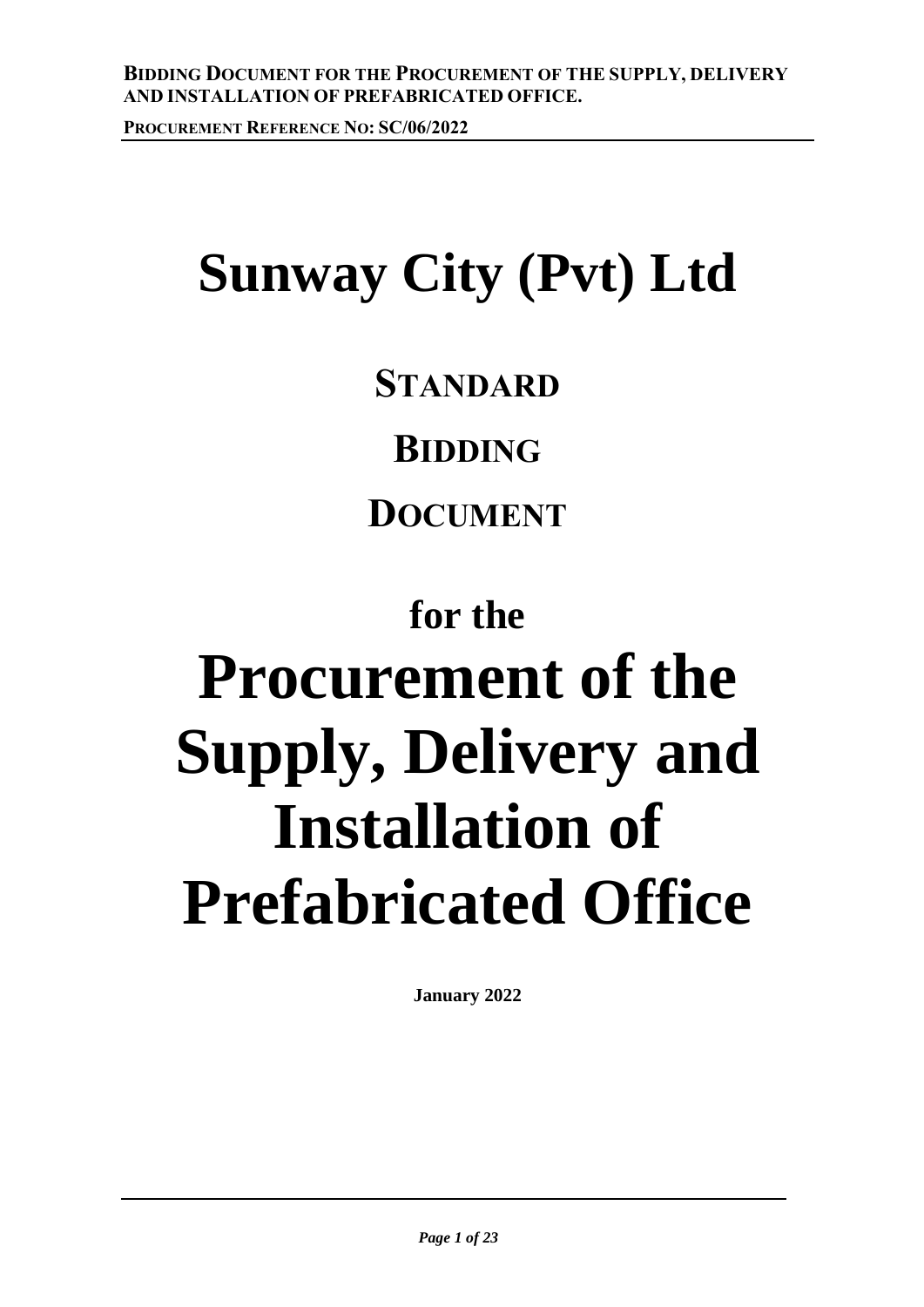**PROCUREMENT REFERENCE NO: SC/06/2022**

# **Sunway City (Pvt) Ltd**

**STANDARD**

**BIDDING**

**DOCUMENT**

# **for the Procurement of the Supply, Delivery and Installation of Prefabricated Office**

**January 2022**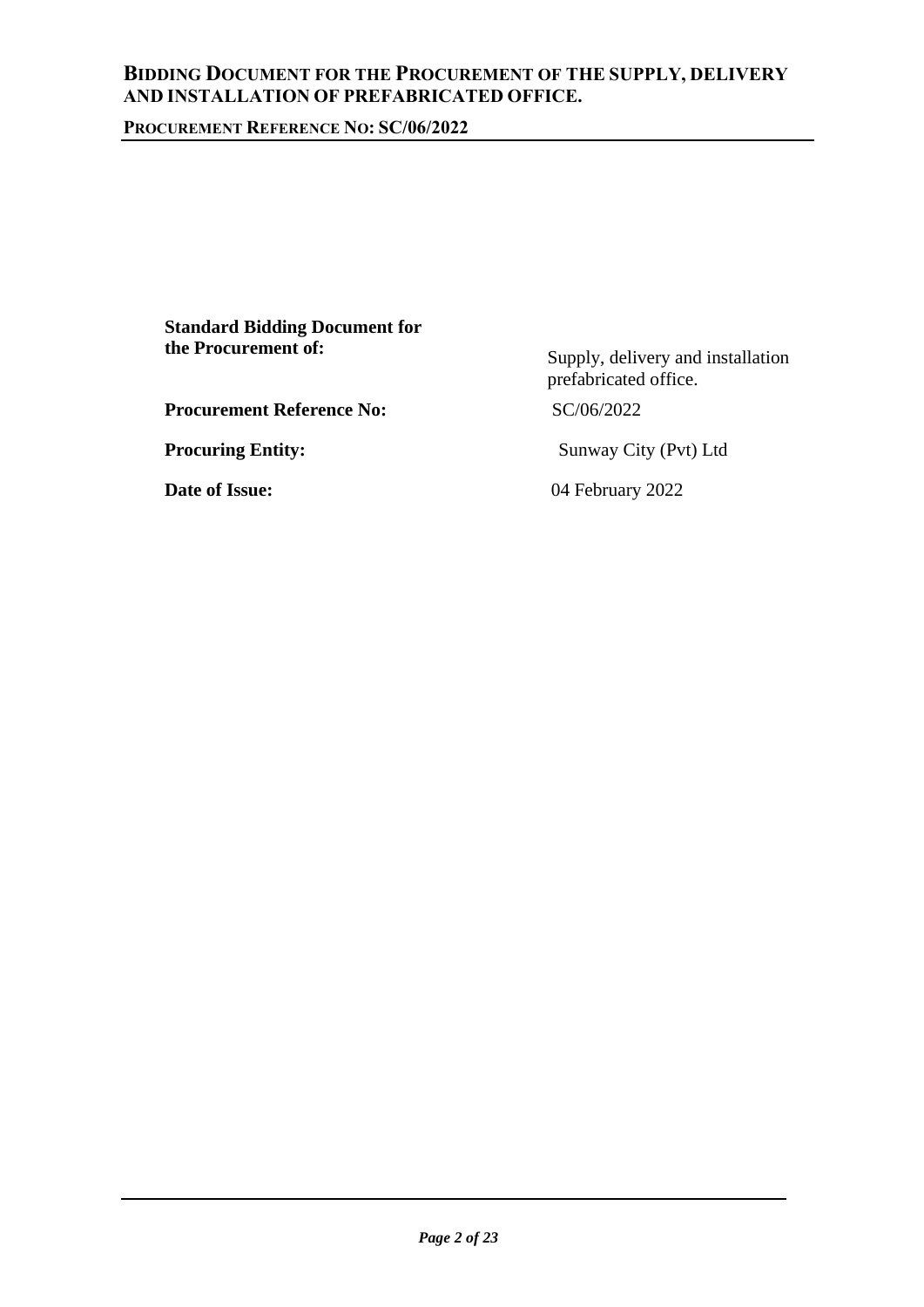**PROCUREMENT REFERENCE NO: SC/06/2022**

# **Standard Bidding Document for**

**Procurement Reference No:** SC/06/2022

Supply, delivery and installation prefabricated office.

**Procuring Entity:** Sunway City (Pvt) Ltd

**Date of Issue:** 04 February 2022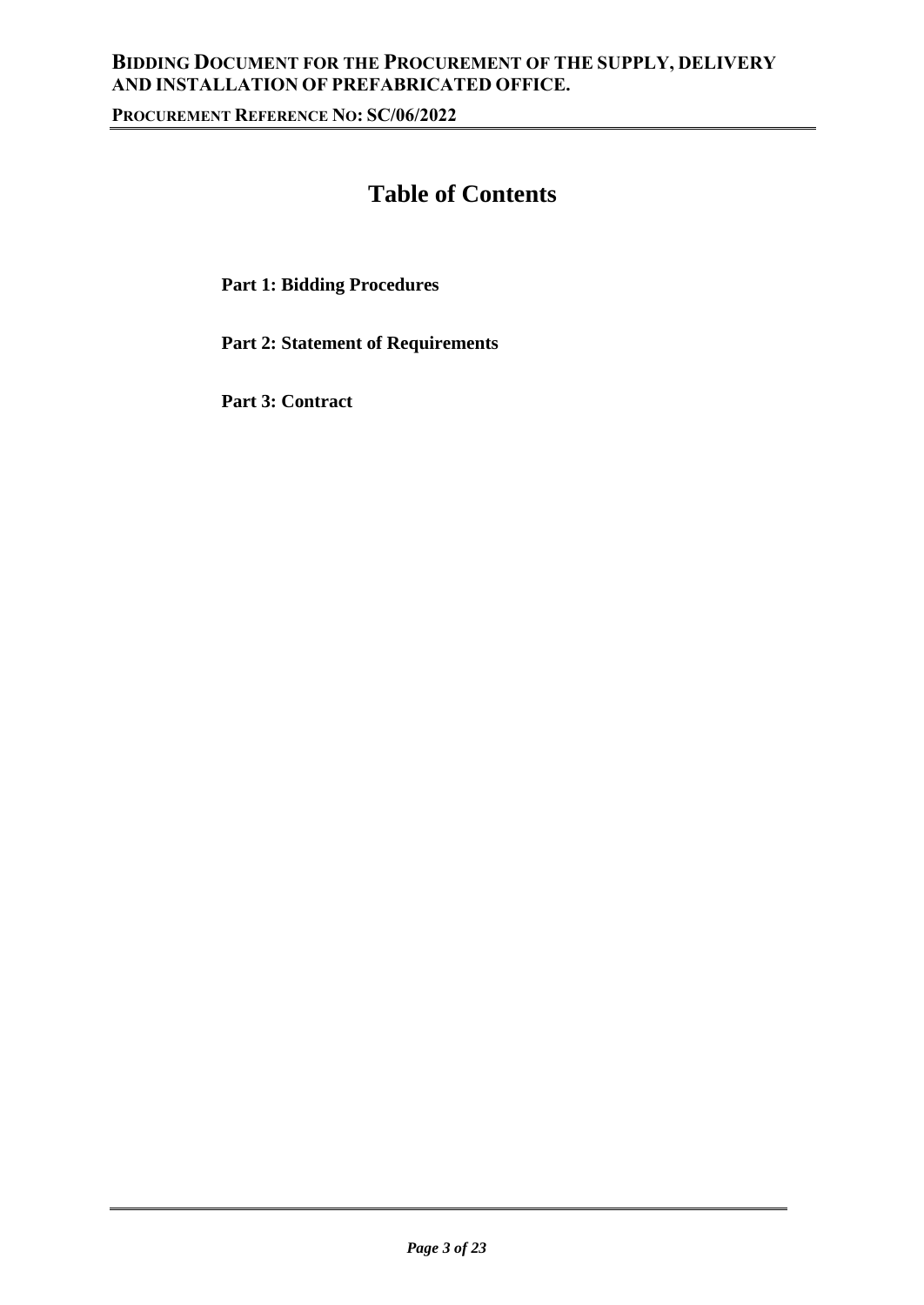**PROCUREMENT REFERENCE NO: SC/06/2022**

## **Table of Contents**

**Part 1: Bidding Procedures**

**Part 2: Statement of Requirements**

**Part 3: Contract**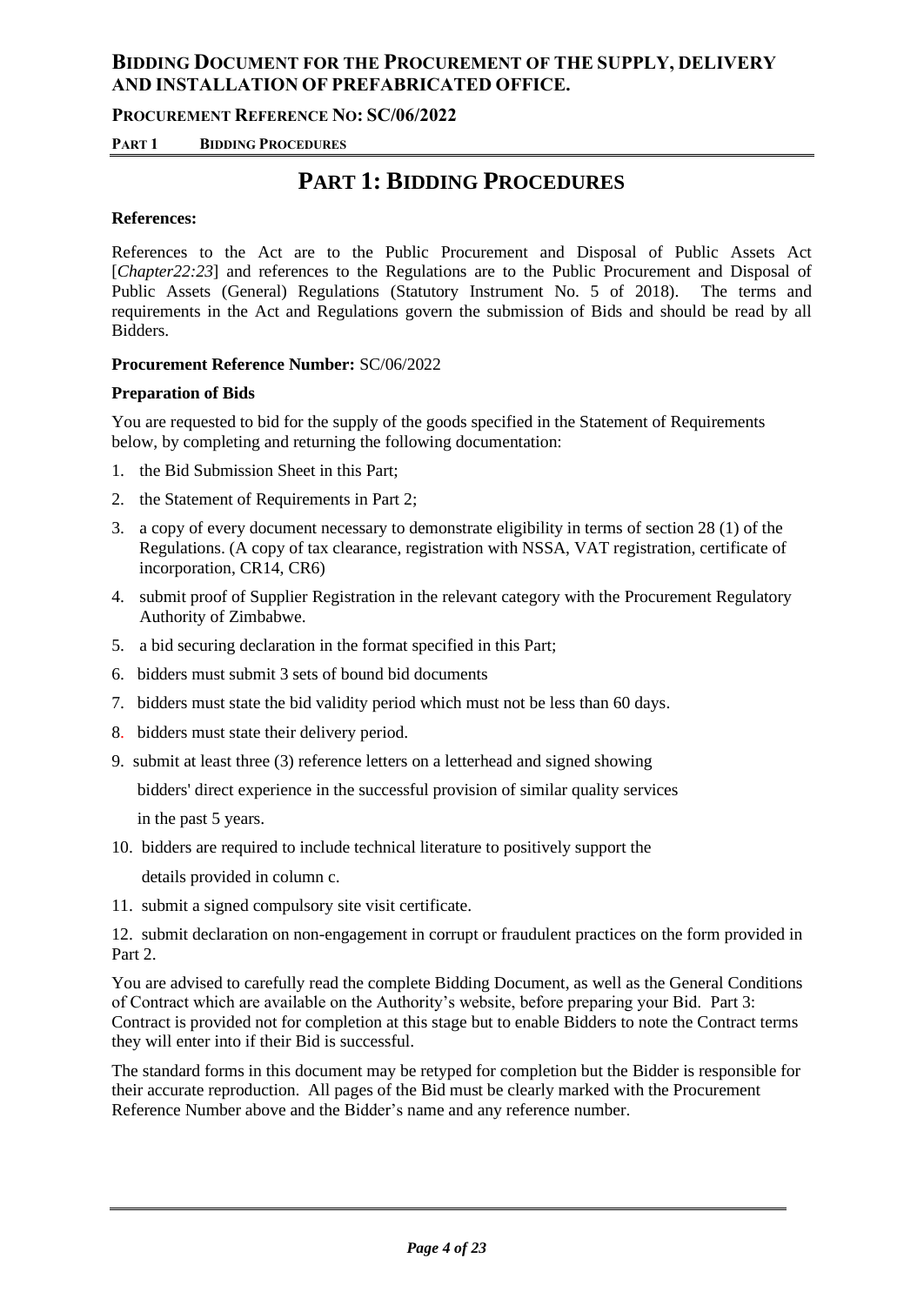## **PROCUREMENT REFERENCE NO: SC/06/2022**

#### **PART 1 BIDDING PROCEDURES**

## **PART 1: BIDDING PROCEDURES**

#### **References:**

References to the Act are to the Public Procurement and Disposal of Public Assets Act [*Chapter22:23*] and references to the Regulations are to the Public Procurement and Disposal of Public Assets (General) Regulations (Statutory Instrument No. 5 of 2018). The terms and requirements in the Act and Regulations govern the submission of Bids and should be read by all Bidders.

#### **Procurement Reference Number:** SC/06/2022

#### **Preparation of Bids**

You are requested to bid for the supply of the goods specified in the Statement of Requirements below, by completing and returning the following documentation:

- 1. the Bid Submission Sheet in this Part;
- 2. the Statement of Requirements in Part 2;
- 3. a copy of every document necessary to demonstrate eligibility in terms of section 28 (1) of the Regulations. (A copy of tax clearance, registration with NSSA, VAT registration, certificate of incorporation, CR14, CR6)
- 4. submit proof of Supplier Registration in the relevant category with the Procurement Regulatory Authority of Zimbabwe.
- 5. a bid securing declaration in the format specified in this Part;
- 6. bidders must submit 3 sets of bound bid documents
- 7. bidders must state the bid validity period which must not be less than 60 days.
- 8. bidders must state their delivery period.
- 9. submit at least three (3) reference letters on a letterhead and signed showing

bidders' direct experience in the successful provision of similar quality services

in the past 5 years.

10. bidders are required to include technical literature to positively support the

details provided in column c.

11. submit a signed compulsory site visit certificate.

12. submit declaration on non-engagement in corrupt or fraudulent practices on the form provided in Part 2.

You are advised to carefully read the complete Bidding Document, as well as the General Conditions of Contract which are available on the Authority's website, before preparing your Bid. Part 3: Contract is provided not for completion at this stage but to enable Bidders to note the Contract terms they will enter into if their Bid is successful.

The standard forms in this document may be retyped for completion but the Bidder is responsible for their accurate reproduction. All pages of the Bid must be clearly marked with the Procurement Reference Number above and the Bidder's name and any reference number.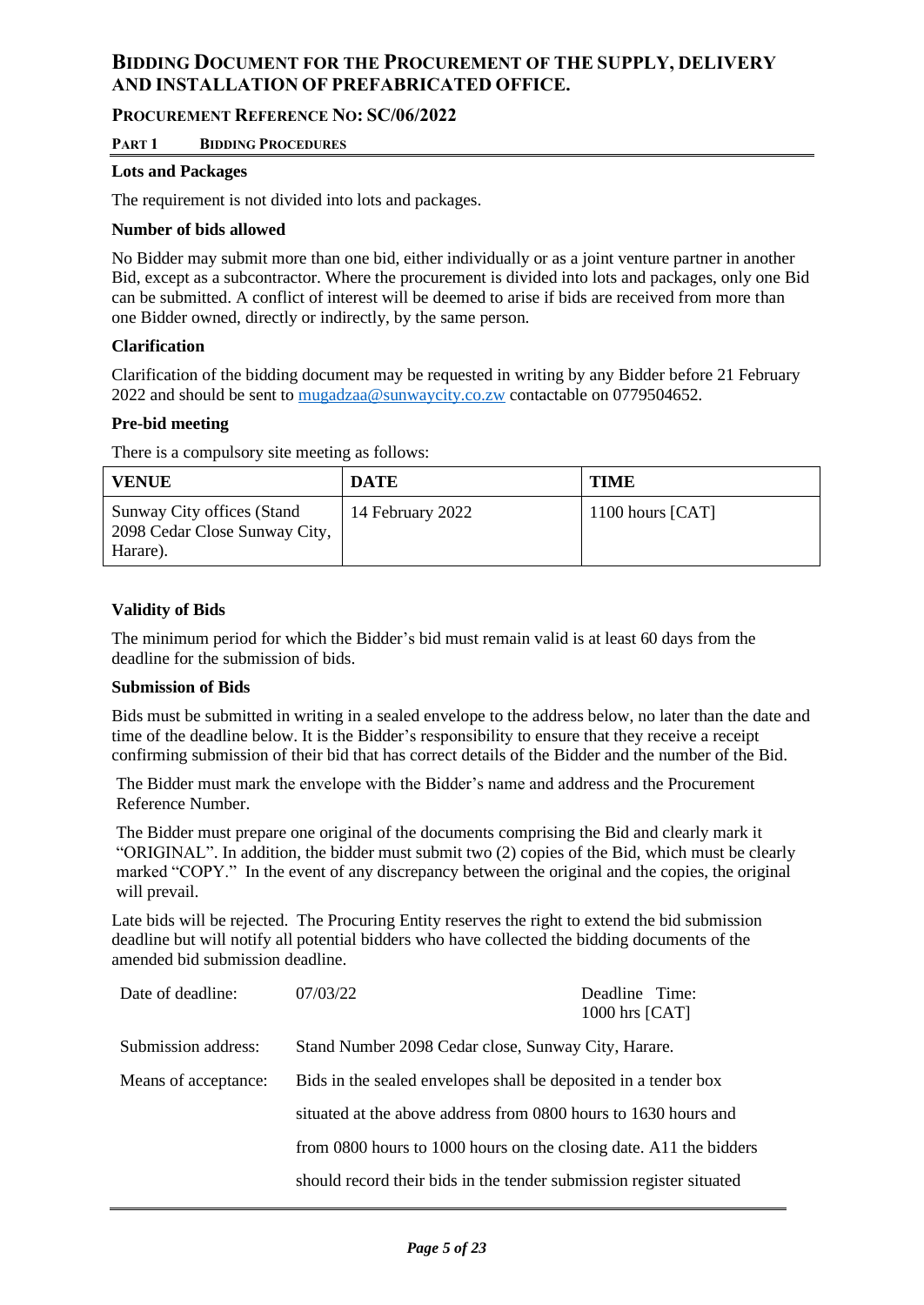## **PROCUREMENT REFERENCE NO: SC/06/2022**

#### **PART 1 BIDDING PROCEDURES**

#### **Lots and Packages**

The requirement is not divided into lots and packages.

#### **Number of bids allowed**

No Bidder may submit more than one bid, either individually or as a joint venture partner in another Bid, except as a subcontractor. Where the procurement is divided into lots and packages, only one Bid can be submitted. A conflict of interest will be deemed to arise if bids are received from more than one Bidder owned, directly or indirectly, by the same person.

### **Clarification**

Clarification of the bidding document may be requested in writing by any Bidder before 21 February 2022 and should be sent to [mugadzaa@sunwaycity.co.zw](mailto:mugadzaa@sunwaycity.co.zw) contactable on 0779504652*.*

#### **Pre-bid meeting**

There is a compulsory site meeting as follows:

| <b>VENUE</b>                                                            | <b>DATE</b>      | <b>TIME</b>        |
|-------------------------------------------------------------------------|------------------|--------------------|
| Sunway City offices (Stand<br>2098 Cedar Close Sunway City,<br>Harare). | 14 February 2022 | 1100 hours $[CAT]$ |

#### **Validity of Bids**

The minimum period for which the Bidder's bid must remain valid is at least 60 days from the deadline for the submission of bids.

#### **Submission of Bids**

Bids must be submitted in writing in a sealed envelope to the address below, no later than the date and time of the deadline below. It is the Bidder's responsibility to ensure that they receive a receipt confirming submission of their bid that has correct details of the Bidder and the number of the Bid.

The Bidder must mark the envelope with the Bidder's name and address and the Procurement Reference Number.

The Bidder must prepare one original of the documents comprising the Bid and clearly mark it "ORIGINAL". In addition, the bidder must submit two (2) copies of the Bid, which must be clearly marked "COPY." In the event of any discrepancy between the original and the copies, the original will prevail.

Late bids will be rejected. The Procuring Entity reserves the right to extend the bid submission deadline but will notify all potential bidders who have collected the bidding documents of the amended bid submission deadline.

| Date of deadline:                                                  | 07/03/22                                                            | Deadline Time:<br>$1000$ hrs $[CAT]$ |
|--------------------------------------------------------------------|---------------------------------------------------------------------|--------------------------------------|
| Submission address:                                                | Stand Number 2098 Cedar close, Sunway City, Harare.                 |                                      |
| Means of acceptance:                                               | Bids in the sealed envelopes shall be deposited in a tender box     |                                      |
|                                                                    | situated at the above address from 0800 hours to 1630 hours and     |                                      |
| from 0800 hours to 1000 hours on the closing date. A11 the bidders |                                                                     |                                      |
|                                                                    | should record their bids in the tender submission register situated |                                      |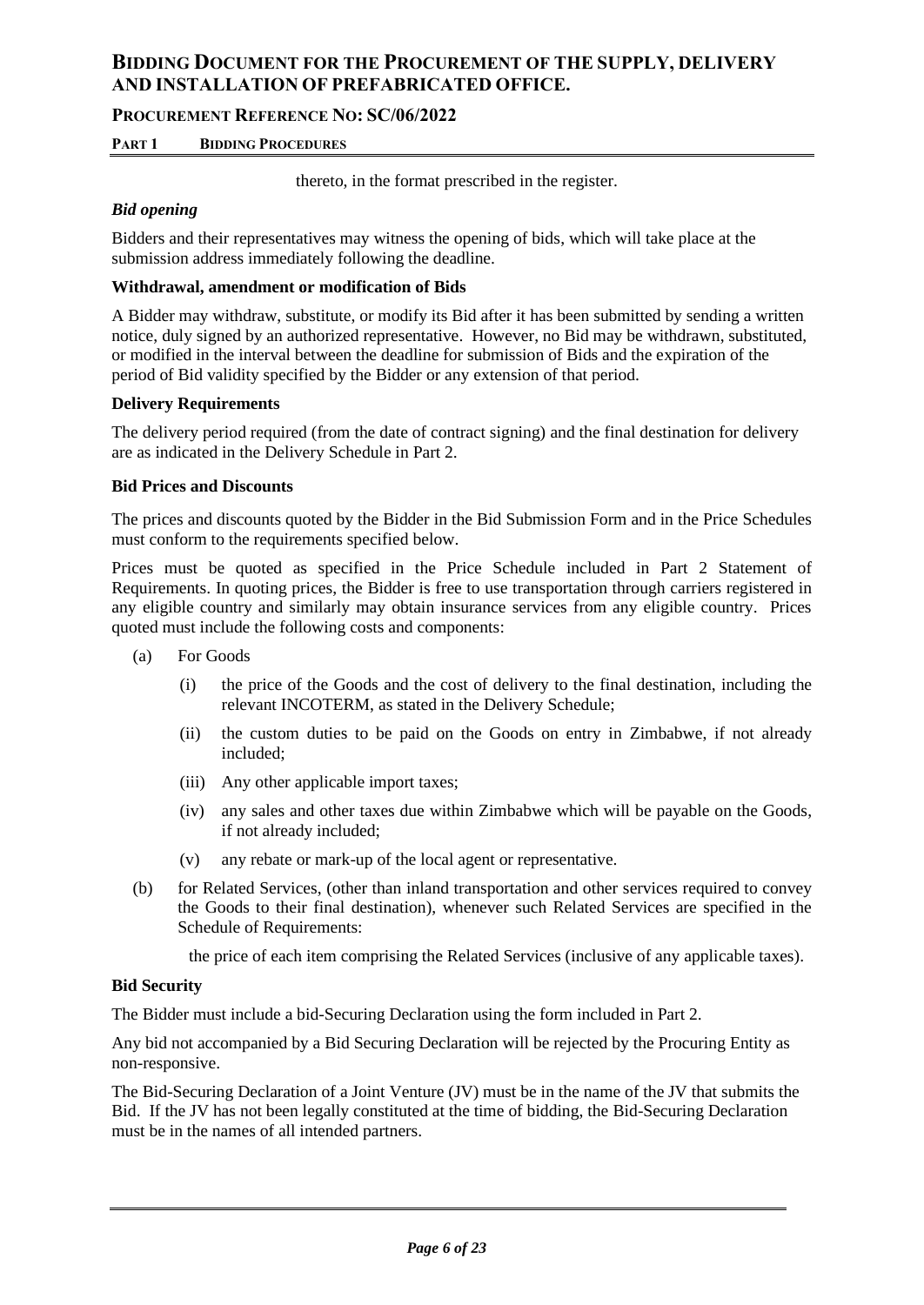## **PROCUREMENT REFERENCE NO: SC/06/2022**

#### **PART 1 BIDDING PROCEDURES**

thereto, in the format prescribed in the register.

#### *Bid opening*

Bidders and their representatives may witness the opening of bids, which will take place at the submission address immediately following the deadline.

#### **Withdrawal, amendment or modification of Bids**

A Bidder may withdraw, substitute, or modify its Bid after it has been submitted by sending a written notice, duly signed by an authorized representative. However, no Bid may be withdrawn, substituted, or modified in the interval between the deadline for submission of Bids and the expiration of the period of Bid validity specified by the Bidder or any extension of that period.

#### **Delivery Requirements**

The delivery period required (from the date of contract signing) and the final destination for delivery are as indicated in the Delivery Schedule in Part 2.

#### **Bid Prices and Discounts**

The prices and discounts quoted by the Bidder in the Bid Submission Form and in the Price Schedules must conform to the requirements specified below.

Prices must be quoted as specified in the Price Schedule included in Part 2 Statement of Requirements. In quoting prices, the Bidder is free to use transportation through carriers registered in any eligible country and similarly may obtain insurance services from any eligible country. Prices quoted must include the following costs and components:

- (a) For Goods
	- (i) the price of the Goods and the cost of delivery to the final destination, including the relevant INCOTERM, as stated in the Delivery Schedule;
	- (ii) the custom duties to be paid on the Goods on entry in Zimbabwe, if not already included;
	- (iii) Any other applicable import taxes;
	- (iv) any sales and other taxes due within Zimbabwe which will be payable on the Goods, if not already included;
	- (v) any rebate or mark-up of the local agent or representative.
- (b) for Related Services, (other than inland transportation and other services required to convey the Goods to their final destination), whenever such Related Services are specified in the Schedule of Requirements:

the price of each item comprising the Related Services (inclusive of any applicable taxes).

#### **Bid Security**

The Bidder must include a bid-Securing Declaration using the form included in Part 2.

Any bid not accompanied by a Bid Securing Declaration will be rejected by the Procuring Entity as non-responsive.

The Bid-Securing Declaration of a Joint Venture (JV) must be in the name of the JV that submits the Bid. If the JV has not been legally constituted at the time of bidding, the Bid-Securing Declaration must be in the names of all intended partners.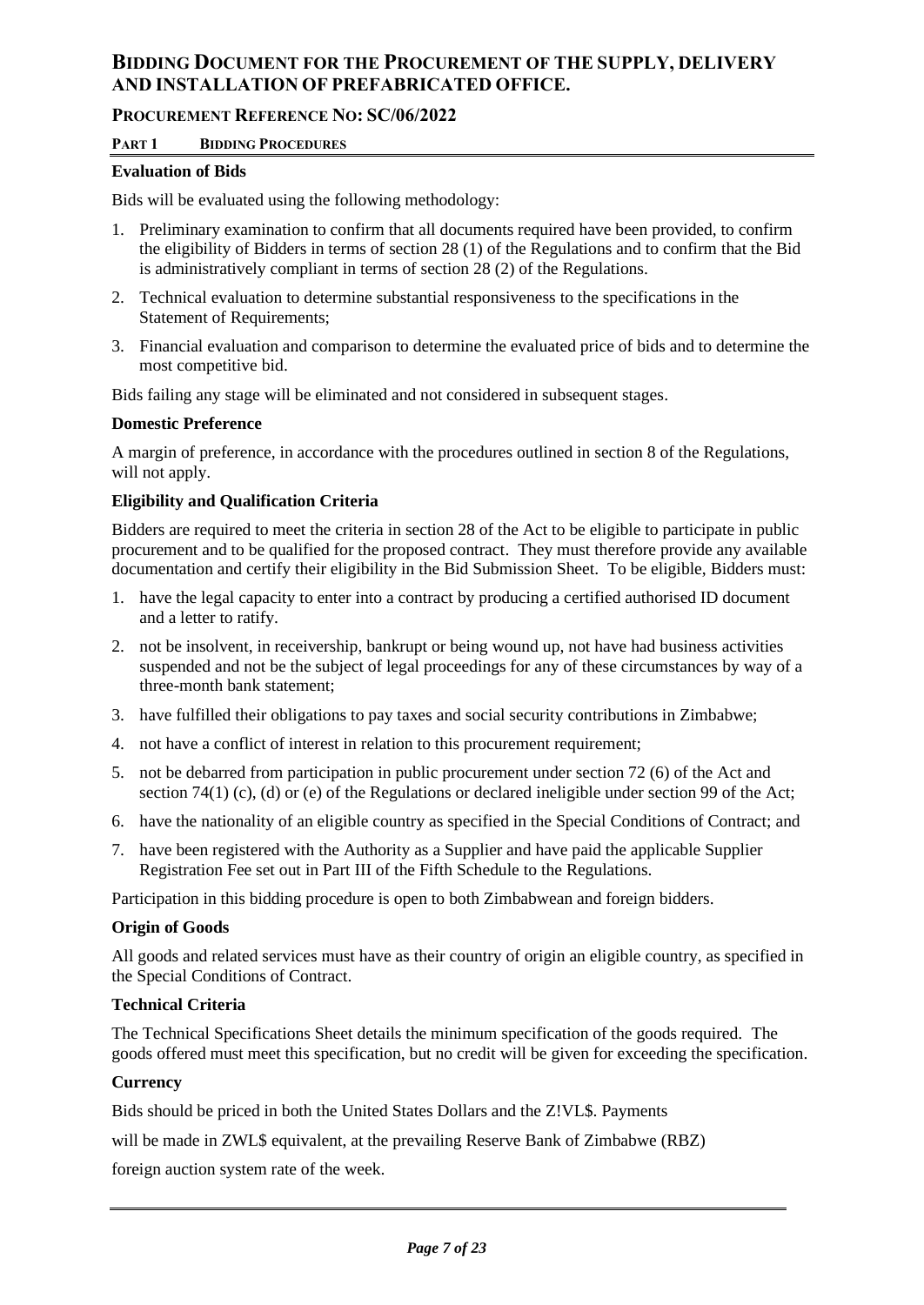## **PROCUREMENT REFERENCE NO: SC/06/2022**

#### **PART 1 BIDDING PROCEDURES**

#### **Evaluation of Bids**

Bids will be evaluated using the following methodology:

- 1. Preliminary examination to confirm that all documents required have been provided, to confirm the eligibility of Bidders in terms of section 28 (1) of the Regulations and to confirm that the Bid is administratively compliant in terms of section 28 (2) of the Regulations.
- 2. Technical evaluation to determine substantial responsiveness to the specifications in the Statement of Requirements;
- 3. Financial evaluation and comparison to determine the evaluated price of bids and to determine the most competitive bid.

Bids failing any stage will be eliminated and not considered in subsequent stages.

#### **Domestic Preference**

A margin of preference, in accordance with the procedures outlined in section 8 of the Regulations, will not apply.

#### **Eligibility and Qualification Criteria**

Bidders are required to meet the criteria in section 28 of the Act to be eligible to participate in public procurement and to be qualified for the proposed contract. They must therefore provide any available documentation and certify their eligibility in the Bid Submission Sheet. To be eligible, Bidders must:

- 1. have the legal capacity to enter into a contract by producing a certified authorised ID document and a letter to ratify.
- 2. not be insolvent, in receivership, bankrupt or being wound up, not have had business activities suspended and not be the subject of legal proceedings for any of these circumstances by way of a three-month bank statement;
- 3. have fulfilled their obligations to pay taxes and social security contributions in Zimbabwe;
- 4. not have a conflict of interest in relation to this procurement requirement;
- 5. not be debarred from participation in public procurement under section 72 (6) of the Act and section 74(1) (c), (d) or (e) of the Regulations or declared ineligible under section 99 of the Act;
- 6. have the nationality of an eligible country as specified in the Special Conditions of Contract; and
- 7. have been registered with the Authority as a Supplier and have paid the applicable Supplier Registration Fee set out in Part III of the Fifth Schedule to the Regulations.

Participation in this bidding procedure is open to both Zimbabwean and foreign bidders.

## **Origin of Goods**

All goods and related services must have as their country of origin an eligible country, as specified in the Special Conditions of Contract.

#### **Technical Criteria**

The Technical Specifications Sheet details the minimum specification of the goods required. The goods offered must meet this specification, but no credit will be given for exceeding the specification.

#### **Currency**

Bids should be priced in both the United States Dollars and the Z!VL\$. Payments

will be made in ZWL\$ equivalent, at the prevailing Reserve Bank of Zimbabwe (RBZ)

foreign auction system rate of the week.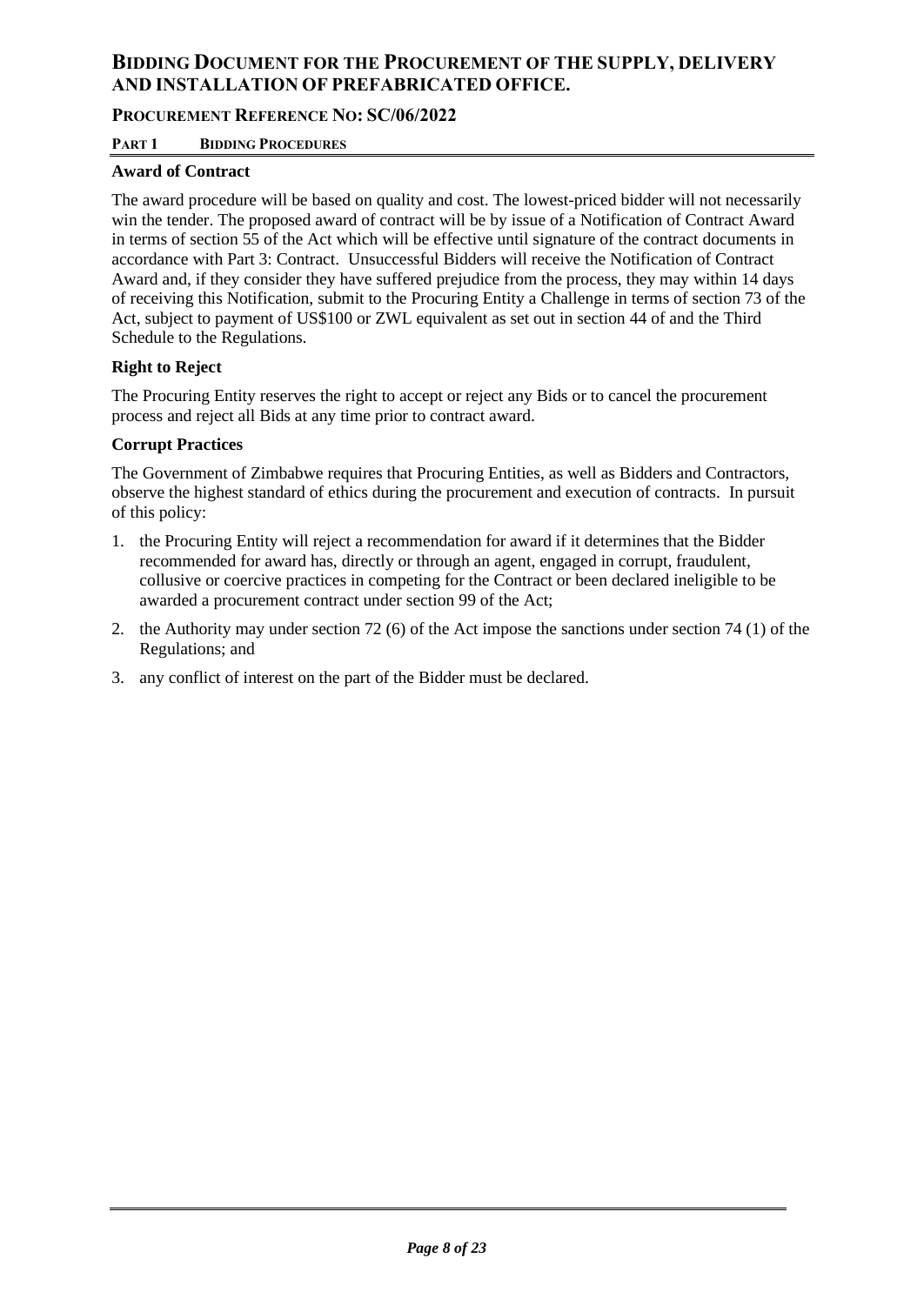## **PROCUREMENT REFERENCE NO: SC/06/2022**

### **PART 1 BIDDING PROCEDURES**

## **Award of Contract**

The award procedure will be based on quality and cost. The lowest-priced bidder will not necessarily win the tender. The proposed award of contract will be by issue of a Notification of Contract Award in terms of section 55 of the Act which will be effective until signature of the contract documents in accordance with Part 3: Contract. Unsuccessful Bidders will receive the Notification of Contract Award and, if they consider they have suffered prejudice from the process, they may within 14 days of receiving this Notification, submit to the Procuring Entity a Challenge in terms of section 73 of the Act, subject to payment of US\$100 or ZWL equivalent as set out in section 44 of and the Third Schedule to the Regulations.

## **Right to Reject**

The Procuring Entity reserves the right to accept or reject any Bids or to cancel the procurement process and reject all Bids at any time prior to contract award.

## **Corrupt Practices**

The Government of Zimbabwe requires that Procuring Entities, as well as Bidders and Contractors, observe the highest standard of ethics during the procurement and execution of contracts. In pursuit of this policy:

- 1. the Procuring Entity will reject a recommendation for award if it determines that the Bidder recommended for award has, directly or through an agent, engaged in corrupt, fraudulent, collusive or coercive practices in competing for the Contract or been declared ineligible to be awarded a procurement contract under section 99 of the Act;
- 2. the Authority may under section 72 (6) of the Act impose the sanctions under section 74 (1) of the Regulations; and
- 3. any conflict of interest on the part of the Bidder must be declared.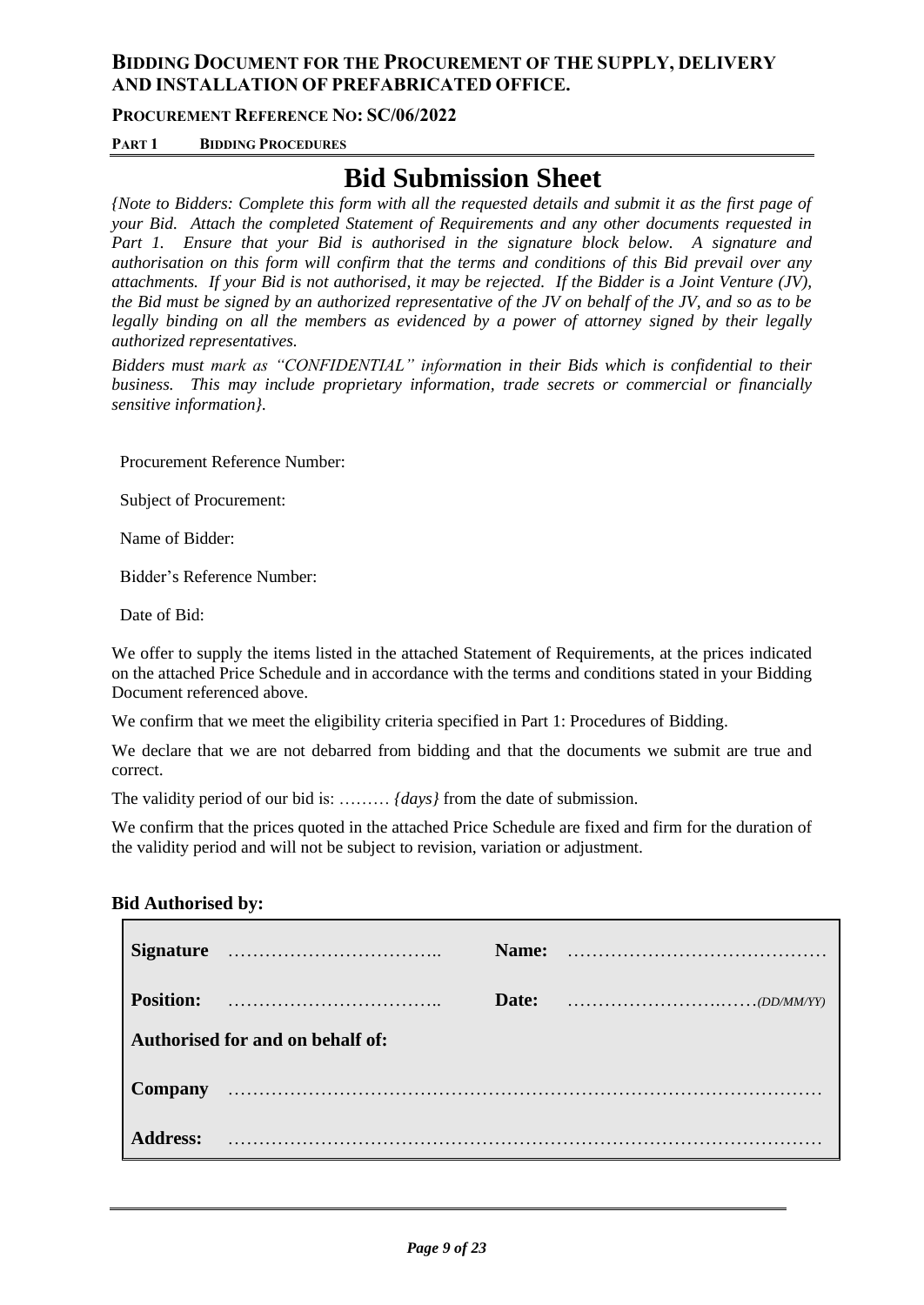## **PROCUREMENT REFERENCE NO: SC/06/2022**

#### **PART 1 BIDDING PROCEDURES**

## **Bid Submission Sheet**

*{Note to Bidders: Complete this form with all the requested details and submit it as the first page of your Bid. Attach the completed Statement of Requirements and any other documents requested in Part 1. Ensure that your Bid is authorised in the signature block below. A signature and authorisation on this form will confirm that the terms and conditions of this Bid prevail over any attachments. If your Bid is not authorised, it may be rejected. If the Bidder is a Joint Venture (JV), the Bid must be signed by an authorized representative of the JV on behalf of the JV, and so as to be legally binding on all the members as evidenced by a power of attorney signed by their legally authorized representatives.* 

*Bidders must mark as "CONFIDENTIAL" information in their Bids which is confidential to their business. This may include proprietary information, trade secrets or commercial or financially sensitive information}.* 

Procurement Reference Number:

Subject of Procurement:

Name of Bidder:

Bidder's Reference Number:

Date of Bid:

We offer to supply the items listed in the attached Statement of Requirements, at the prices indicated on the attached Price Schedule and in accordance with the terms and conditions stated in your Bidding Document referenced above.

We confirm that we meet the eligibility criteria specified in Part 1: Procedures of Bidding.

We declare that we are not debarred from bidding and that the documents we submit are true and correct.

The validity period of our bid is: ……… *{days}* from the date of submission.

We confirm that the prices quoted in the attached Price Schedule are fixed and firm for the duration of the validity period and will not be subject to revision, variation or adjustment.

#### **Bid Authorised by:**

| <b>Signature</b> |                                  | <b>Name:</b> |                                                                                           |
|------------------|----------------------------------|--------------|-------------------------------------------------------------------------------------------|
| <b>Position:</b> |                                  | Date:        | $\ldots \ldots \ldots \ldots \ldots \ldots \ldots \ldots \ldots \ldots \ldots (DD/MM/YY)$ |
|                  | Authorised for and on behalf of: |              |                                                                                           |
| <b>Company</b>   |                                  |              |                                                                                           |
| <b>Address:</b>  |                                  |              |                                                                                           |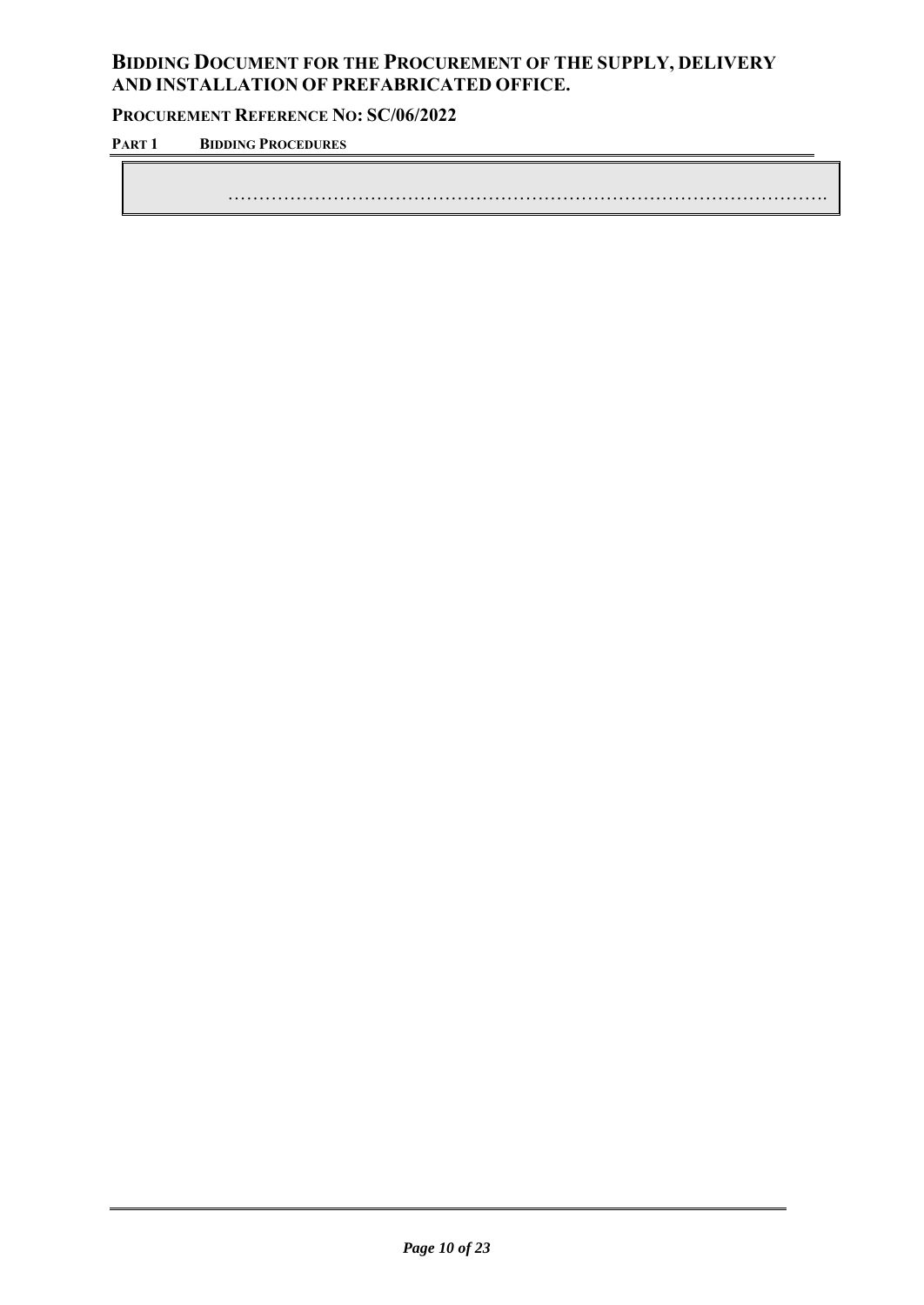## **PROCUREMENT REFERENCE NO: SC/06/2022**

**PART 1 BIDDING PROCEDURES**

…………………………………………………………………………………….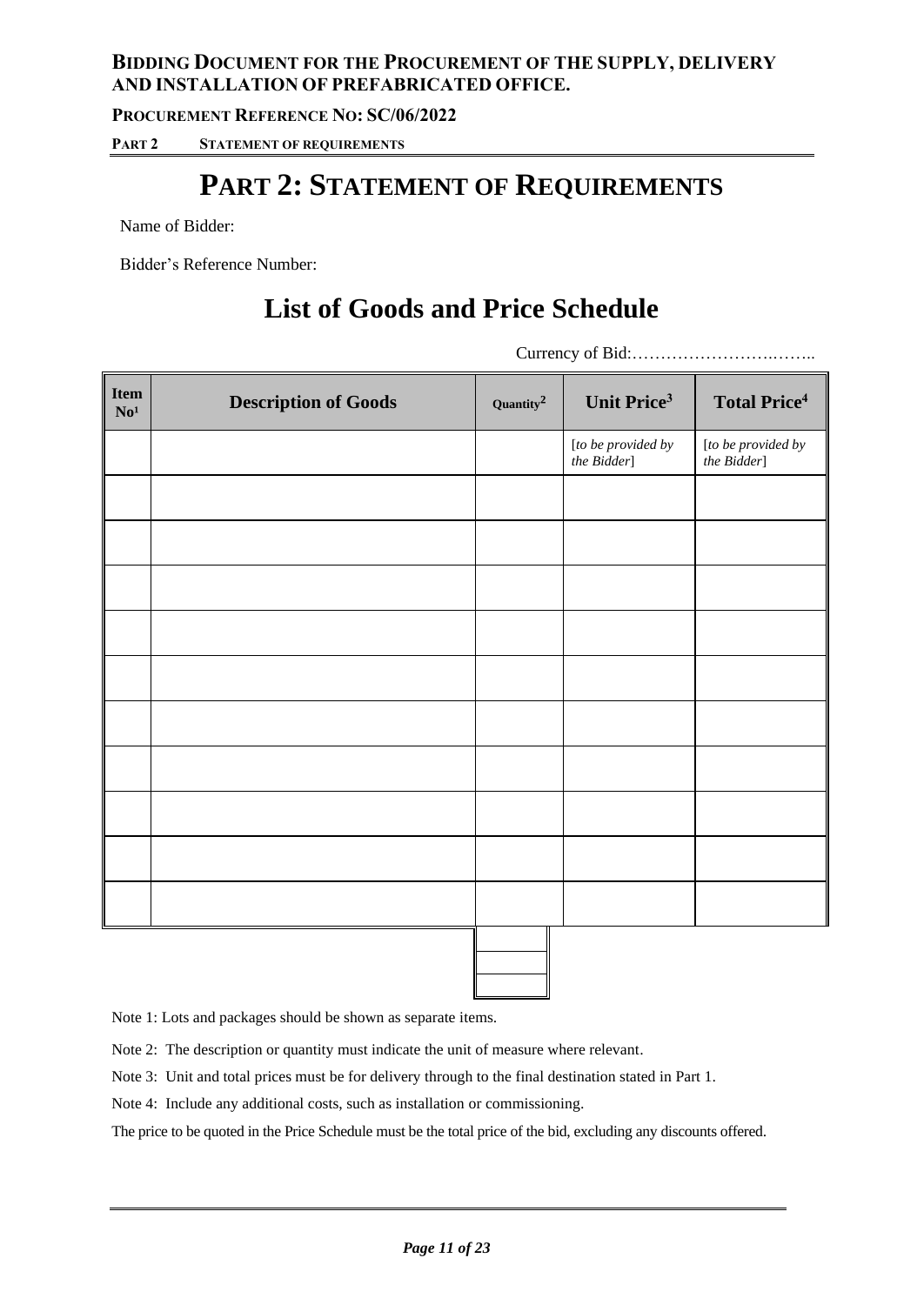**PROCUREMENT REFERENCE NO: SC/06/2022**

**PART 2 STATEMENT OF REQUIREMENTS**

# **PART 2: STATEMENT OF REQUIREMENTS**

Name of Bidder:

Bidder's Reference Number:

# **List of Goods and Price Schedule**

Currency of Bid:…………………….……..

| Item<br>$\mathbf{N}\mathbf{o}^{\mathbf{1}}$ | <b>Description of Goods</b> | Quantity <sup>2</sup> | Unit Price <sup>3</sup>           | <b>Total Price</b> <sup>4</sup>   |
|---------------------------------------------|-----------------------------|-----------------------|-----------------------------------|-----------------------------------|
|                                             |                             |                       | [to be provided by<br>the Bidder] | [to be provided by<br>the Bidder] |
|                                             |                             |                       |                                   |                                   |
|                                             |                             |                       |                                   |                                   |
|                                             |                             |                       |                                   |                                   |
|                                             |                             |                       |                                   |                                   |
|                                             |                             |                       |                                   |                                   |
|                                             |                             |                       |                                   |                                   |
|                                             |                             |                       |                                   |                                   |
|                                             |                             |                       |                                   |                                   |
|                                             |                             |                       |                                   |                                   |
|                                             |                             |                       |                                   |                                   |
|                                             |                             |                       |                                   |                                   |

Note 1: Lots and packages should be shown as separate items.

Note 2: The description or quantity must indicate the unit of measure where relevant.

Note 3: Unit and total prices must be for delivery through to the final destination stated in Part 1.

Note 4: Include any additional costs, such as installation or commissioning.

The price to be quoted in the Price Schedule must be the total price of the bid, excluding any discounts offered.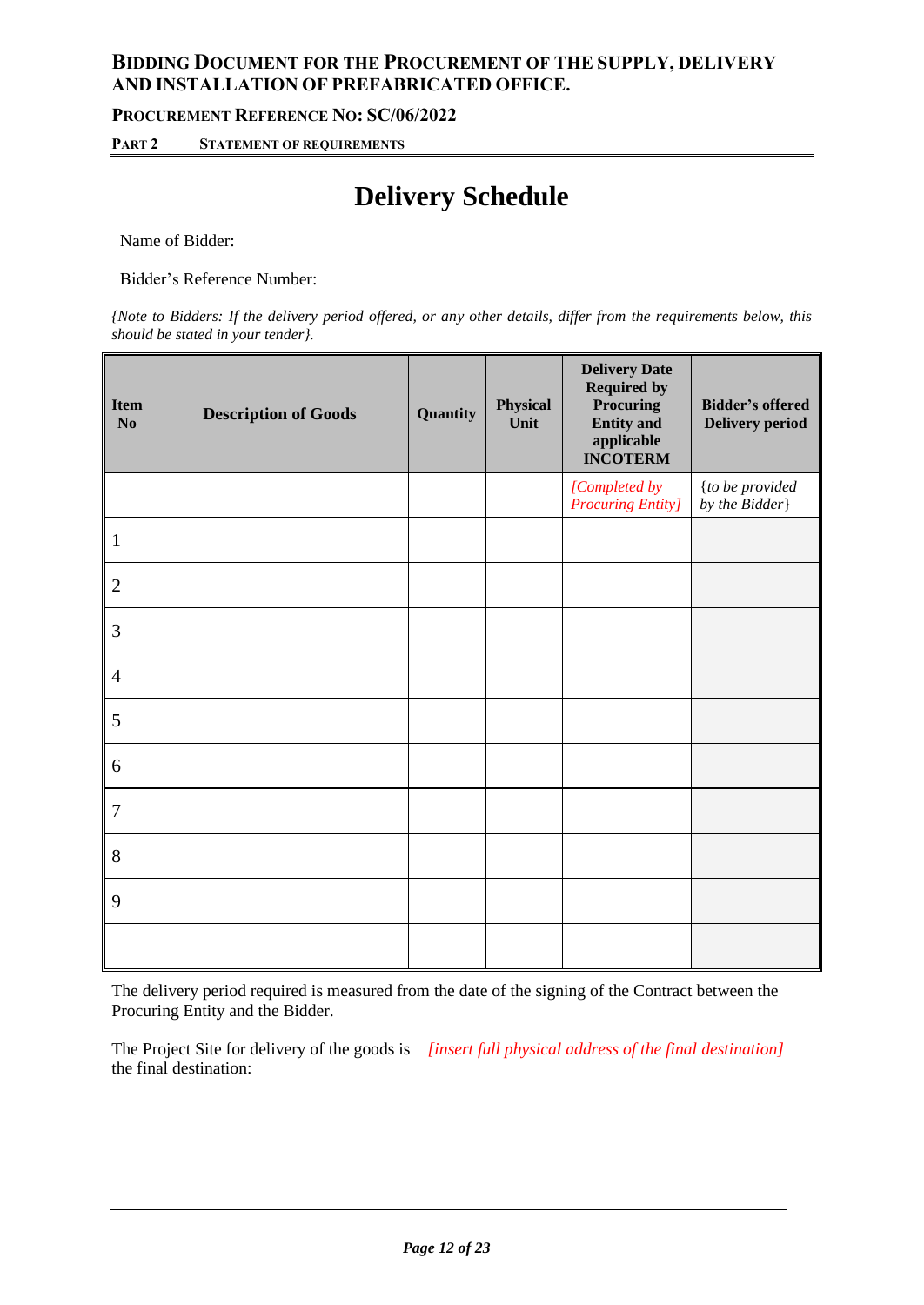## **PROCUREMENT REFERENCE NO: SC/06/2022**

**PART 2 STATEMENT OF REQUIREMENTS**

# **Delivery Schedule**

Name of Bidder:

Bidder's Reference Number:

*{Note to Bidders: If the delivery period offered, or any other details, differ from the requirements below, this should be stated in your tender}.* 

| <b>Item</b><br>N <sub>0</sub> | <b>Description of Goods</b> | Quantity | Physical<br>Unit | <b>Delivery Date</b><br><b>Required by</b><br><b>Procuring</b><br><b>Entity and</b><br>applicable<br><b>INCOTERM</b> | <b>Bidder's offered</b><br><b>Delivery period</b> |
|-------------------------------|-----------------------------|----------|------------------|----------------------------------------------------------------------------------------------------------------------|---------------------------------------------------|
|                               |                             |          |                  | [Completed by<br><b>Procuring Entity]</b>                                                                            | {to be provided<br>by the Bidder}                 |
| $\mathbf{1}$                  |                             |          |                  |                                                                                                                      |                                                   |
| $\mathbf{2}$                  |                             |          |                  |                                                                                                                      |                                                   |
| 3                             |                             |          |                  |                                                                                                                      |                                                   |
| $\overline{4}$                |                             |          |                  |                                                                                                                      |                                                   |
| $\mathfrak{S}$                |                             |          |                  |                                                                                                                      |                                                   |
| 6                             |                             |          |                  |                                                                                                                      |                                                   |
| $\tau$                        |                             |          |                  |                                                                                                                      |                                                   |
| $8\,$                         |                             |          |                  |                                                                                                                      |                                                   |
| $\mathbf{9}$                  |                             |          |                  |                                                                                                                      |                                                   |
|                               |                             |          |                  |                                                                                                                      |                                                   |

The delivery period required is measured from the date of the signing of the Contract between the Procuring Entity and the Bidder.

The Project Site for delivery of the goods is *[insert full physical address of the final destination]*the final destination: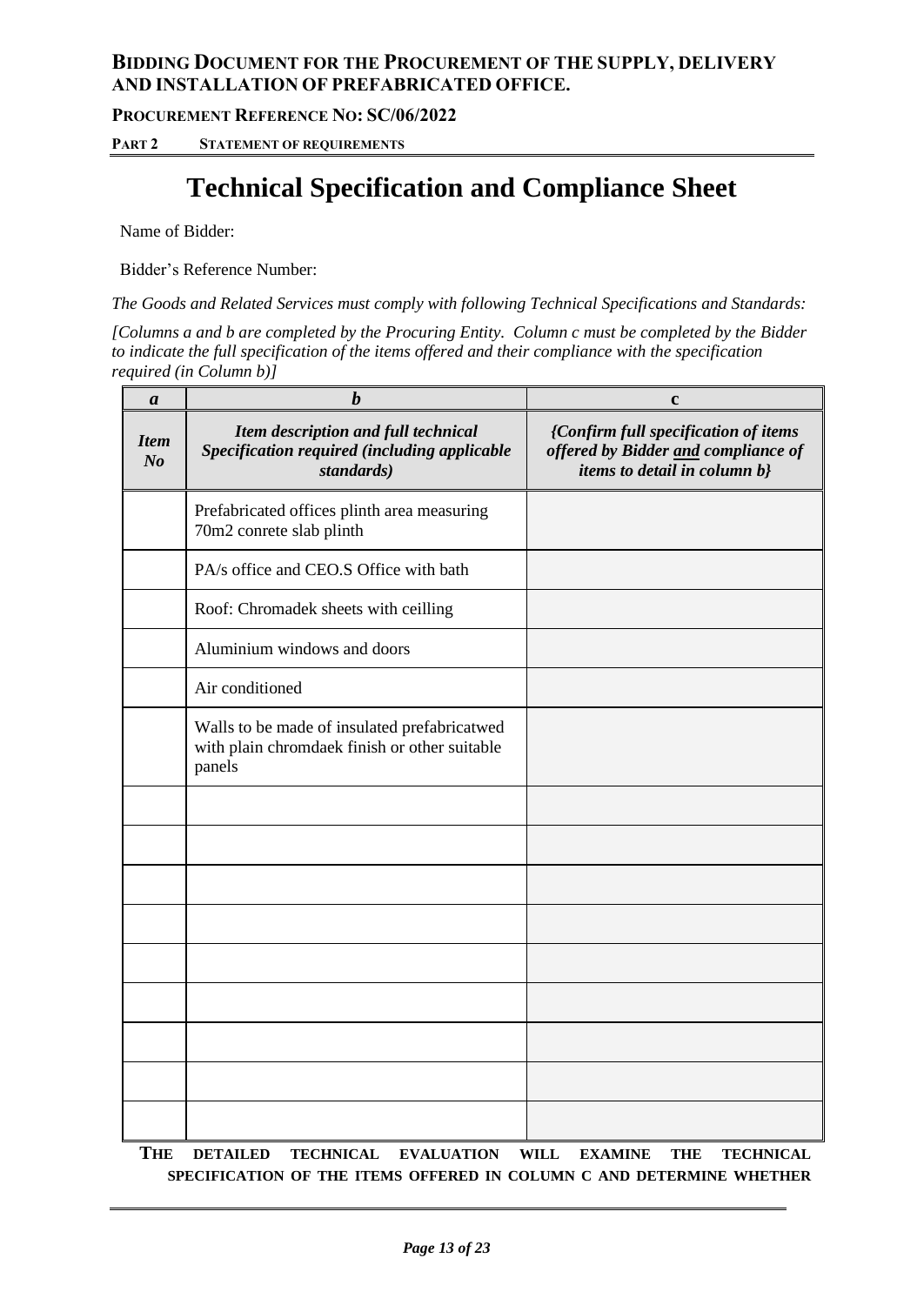**PROCUREMENT REFERENCE NO: SC/06/2022**

**PART 2 STATEMENT OF REQUIREMENTS**

# **Technical Specification and Compliance Sheet**

Name of Bidder:

Bidder's Reference Number:

*The Goods and Related Services must comply with following Technical Specifications and Standards:* 

*[Columns a and b are completed by the Procuring Entity. Column c must be completed by the Bidder to indicate the full specification of the items offered and their compliance with the specification required (in Column b)]*

| $\boldsymbol{a}$              | $\boldsymbol{b}$                                                                                        | $\mathbf c$                                                                                                        |
|-------------------------------|---------------------------------------------------------------------------------------------------------|--------------------------------------------------------------------------------------------------------------------|
| <b>Item</b><br>N <sub>o</sub> | Item description and full technical<br>Specification required (including applicable<br>standards)       | {Confirm full specification of items<br>offered by Bidder and compliance of<br><i>items to detail in column b}</i> |
|                               | Prefabricated offices plinth area measuring<br>70m2 conrete slab plinth                                 |                                                                                                                    |
|                               | PA/s office and CEO.S Office with bath                                                                  |                                                                                                                    |
|                               | Roof: Chromadek sheets with ceilling                                                                    |                                                                                                                    |
|                               | Aluminium windows and doors                                                                             |                                                                                                                    |
|                               | Air conditioned                                                                                         |                                                                                                                    |
|                               | Walls to be made of insulated prefabricatwed<br>with plain chromdaek finish or other suitable<br>panels |                                                                                                                    |
|                               |                                                                                                         |                                                                                                                    |
|                               |                                                                                                         |                                                                                                                    |
|                               |                                                                                                         |                                                                                                                    |
|                               |                                                                                                         |                                                                                                                    |
|                               |                                                                                                         |                                                                                                                    |
|                               |                                                                                                         |                                                                                                                    |
|                               |                                                                                                         |                                                                                                                    |
|                               |                                                                                                         |                                                                                                                    |
|                               |                                                                                                         |                                                                                                                    |
| πъ.                           |                                                                                                         |                                                                                                                    |

**THE DETAILED TECHNICAL EVALUATION WILL EXAMINE THE TECHNICAL SPECIFICATION OF THE ITEMS OFFERED IN COLUMN C AND DETERMINE WHETHER**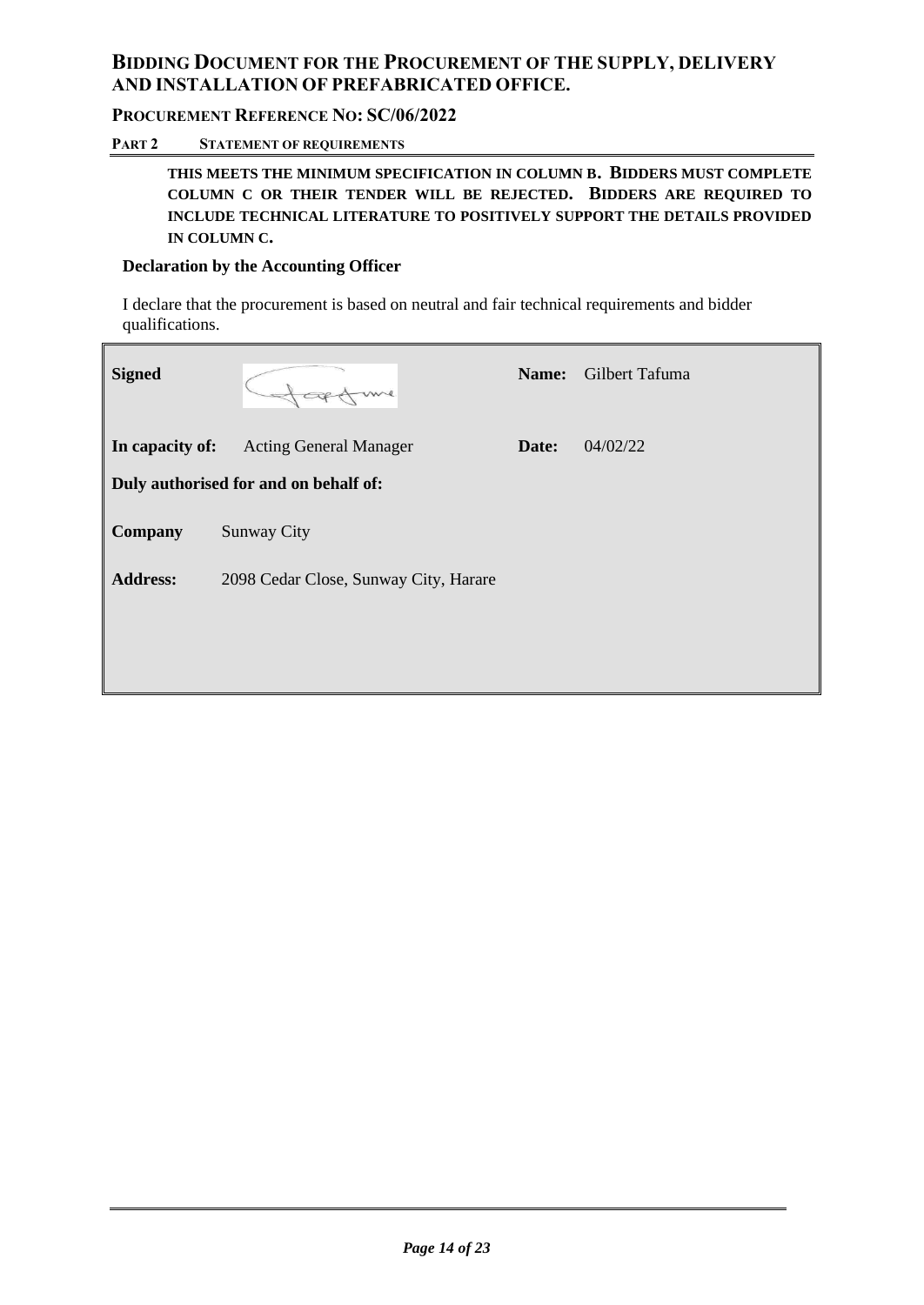## **PROCUREMENT REFERENCE NO: SC/06/2022**

**PART 2 STATEMENT OF REQUIREMENTS**

**THIS MEETS THE MINIMUM SPECIFICATION IN COLUMN B. BIDDERS MUST COMPLETE COLUMN C OR THEIR TENDER WILL BE REJECTED. BIDDERS ARE REQUIRED TO INCLUDE TECHNICAL LITERATURE TO POSITIVELY SUPPORT THE DETAILS PROVIDED IN COLUMN C.** 

## **Declaration by the Accounting Officer**

I declare that the procurement is based on neutral and fair technical requirements and bidder qualifications.

| <b>Signed</b>   | we                                    | Name: | Gilbert Tafuma |
|-----------------|---------------------------------------|-------|----------------|
| In capacity of: | <b>Acting General Manager</b>         | Date: | 04/02/22       |
|                 | Duly authorised for and on behalf of: |       |                |
| Company         | <b>Sunway City</b>                    |       |                |
| <b>Address:</b> | 2098 Cedar Close, Sunway City, Harare |       |                |
|                 |                                       |       |                |
|                 |                                       |       |                |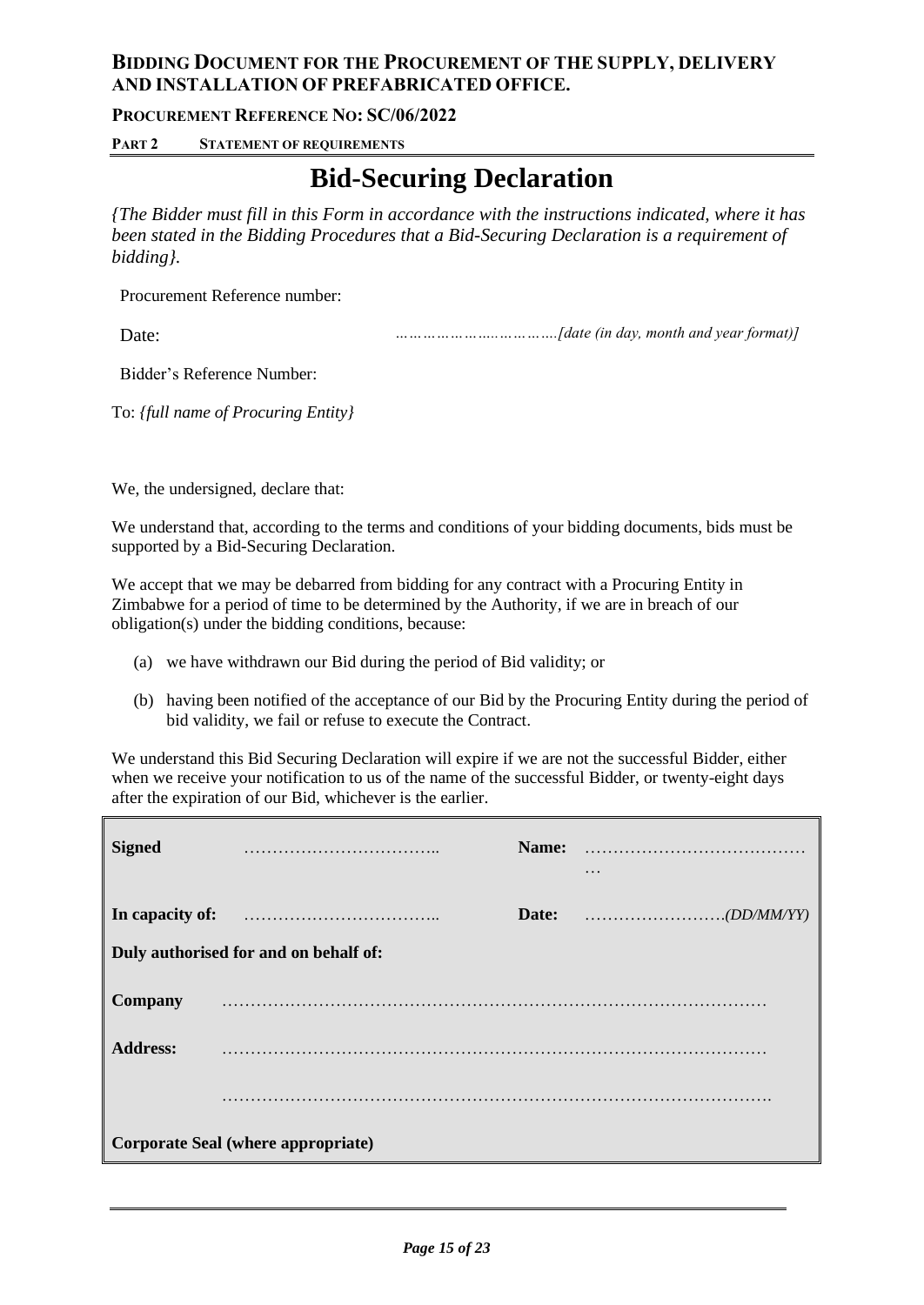## **PROCUREMENT REFERENCE NO: SC/06/2022**

#### **PART 2 STATEMENT OF REQUIREMENTS**

# **Bid-Securing Declaration**

*{The Bidder must fill in this Form in accordance with the instructions indicated, where it has been stated in the Bidding Procedures that a Bid-Securing Declaration is a requirement of bidding}.*

Procurement Reference number:

Date: *…………………..………….[date (in day, month and year format)]*

Bidder's Reference Number:

To: *{full name of Procuring Entity}*

We, the undersigned, declare that:

We understand that, according to the terms and conditions of your bidding documents, bids must be supported by a Bid-Securing Declaration.

We accept that we may be debarred from bidding for any contract with a Procuring Entity in Zimbabwe for a period of time to be determined by the Authority*,* if we are in breach of our obligation(s) under the bidding conditions, because:

- (a) we have withdrawn our Bid during the period of Bid validity; or
- (b) having been notified of the acceptance of our Bid by the Procuring Entity during the period of bid validity, we fail or refuse to execute the Contract.

We understand this Bid Securing Declaration will expire if we are not the successful Bidder, either when we receive your notification to us of the name of the successful Bidder, or twenty-eight days after the expiration of our Bid, whichever is the earlier.

| <b>Signed</b>                             |                                       | Name: | $\cdots$ |
|-------------------------------------------|---------------------------------------|-------|----------|
| In capacity of:                           |                                       | Date: |          |
|                                           | Duly authorised for and on behalf of: |       |          |
| Company                                   |                                       |       |          |
| <b>Address:</b>                           |                                       |       |          |
|                                           |                                       |       |          |
| <b>Corporate Seal (where appropriate)</b> |                                       |       |          |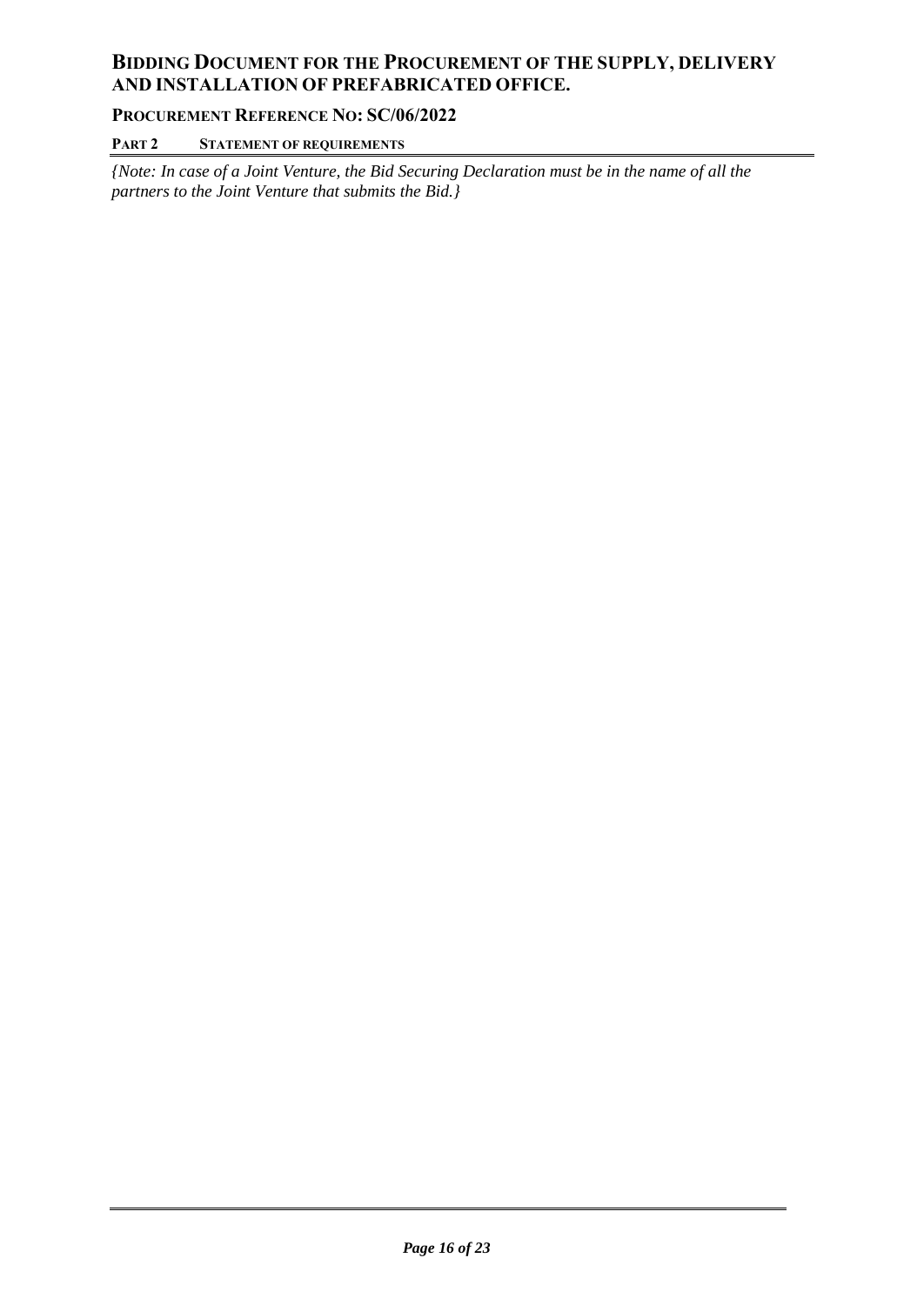## **PROCUREMENT REFERENCE NO: SC/06/2022**

## **PART 2 STATEMENT OF REQUIREMENTS**

*{Note: In case of a Joint Venture, the Bid Securing Declaration must be in the name of all the partners to the Joint Venture that submits the Bid.}*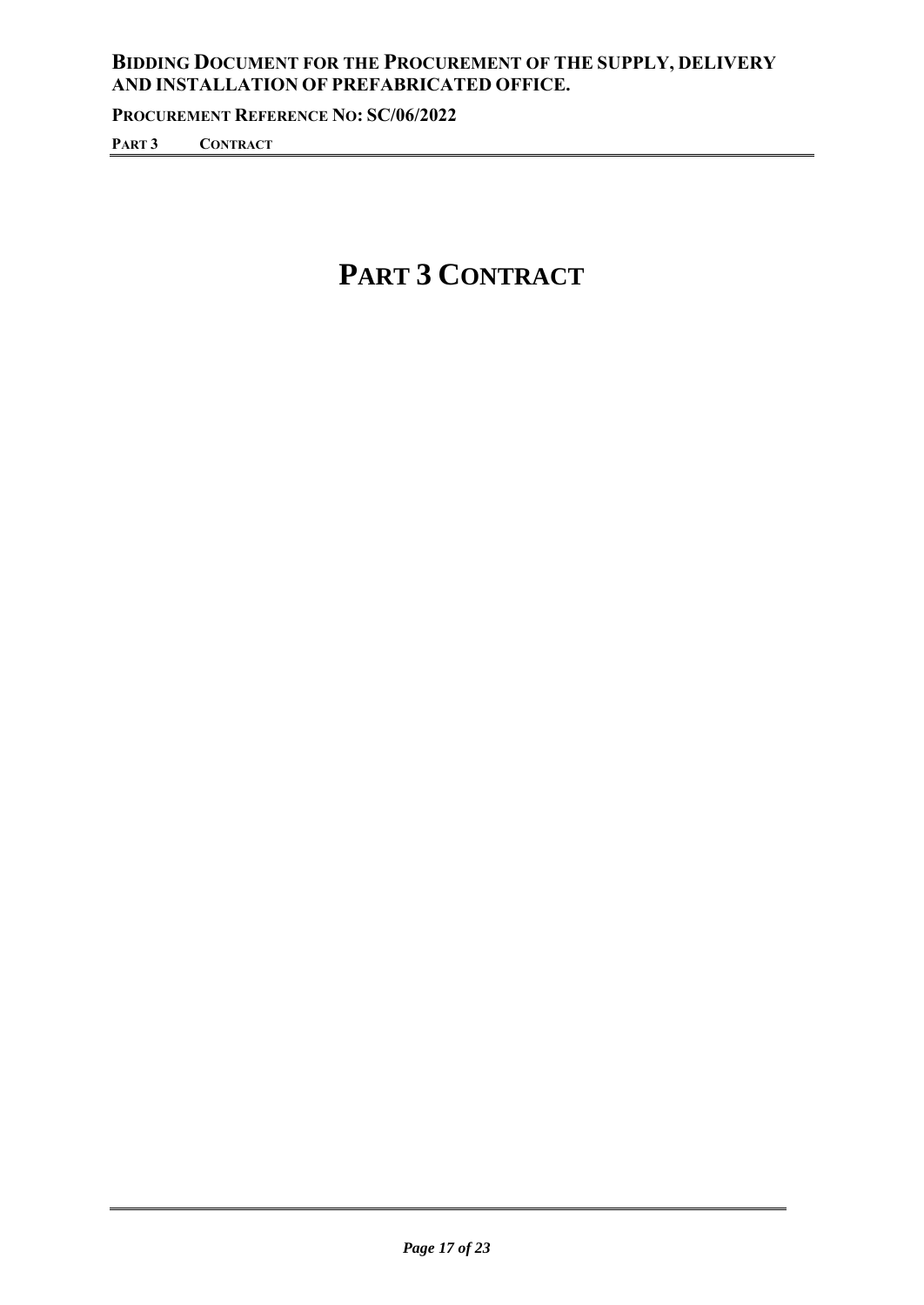**PROCUREMENT REFERENCE NO: SC/06/2022**

**PART 3 CONTRACT**

# **PART 3 CONTRACT**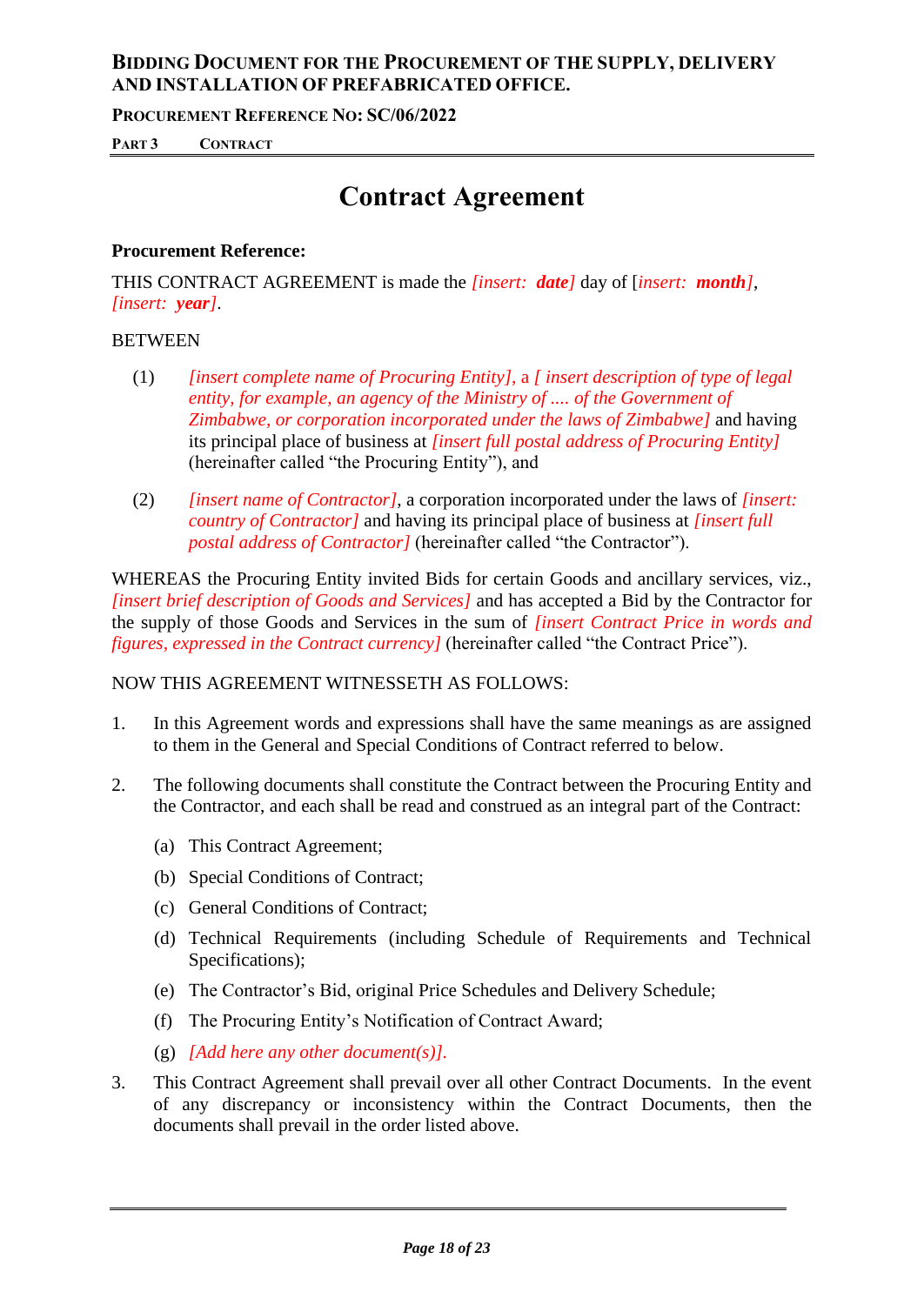**PROCUREMENT REFERENCE NO: SC/06/2022**

**PART 3 CONTRACT**

# **Contract Agreement**

## **Procurement Reference:**

THIS CONTRACT AGREEMENT is made the *[insert: date]* day of [*insert: month]*, *[insert: year]*.

## **BETWEEN**

- (1) *[insert complete name of Procuring Entity]*, a *[ insert description of type of legal entity, for example, an agency of the Ministry of .... of the Government of Zimbabwe, or corporation incorporated under the laws of Zimbabwe]* and having its principal place of business at *[insert full postal address of Procuring Entity]* (hereinafter called "the Procuring Entity"), and
- (2) *[insert name of Contractor]*, a corporation incorporated under the laws of *[insert: country of Contractor]* and having its principal place of business at *[insert full postal address of Contractor]* (hereinafter called "the Contractor").

WHEREAS the Procuring Entity invited Bids for certain Goods and ancillary services, viz., *[insert brief description of Goods and Services]* and has accepted a Bid by the Contractor for the supply of those Goods and Services in the sum of *[insert Contract Price in words and figures, expressed in the Contract currency]* (hereinafter called "the Contract Price").

## NOW THIS AGREEMENT WITNESSETH AS FOLLOWS:

- 1. In this Agreement words and expressions shall have the same meanings as are assigned to them in the General and Special Conditions of Contract referred to below.
- 2. The following documents shall constitute the Contract between the Procuring Entity and the Contractor, and each shall be read and construed as an integral part of the Contract:
	- (a) This Contract Agreement;
	- (b) Special Conditions of Contract;
	- (c) General Conditions of Contract;
	- (d) Technical Requirements (including Schedule of Requirements and Technical Specifications);
	- (e) The Contractor's Bid, original Price Schedules and Delivery Schedule;
	- (f) The Procuring Entity's Notification of Contract Award;
	- (g) *[Add here any other document(s)].*
- 3. This Contract Agreement shall prevail over all other Contract Documents. In the event of any discrepancy or inconsistency within the Contract Documents, then the documents shall prevail in the order listed above.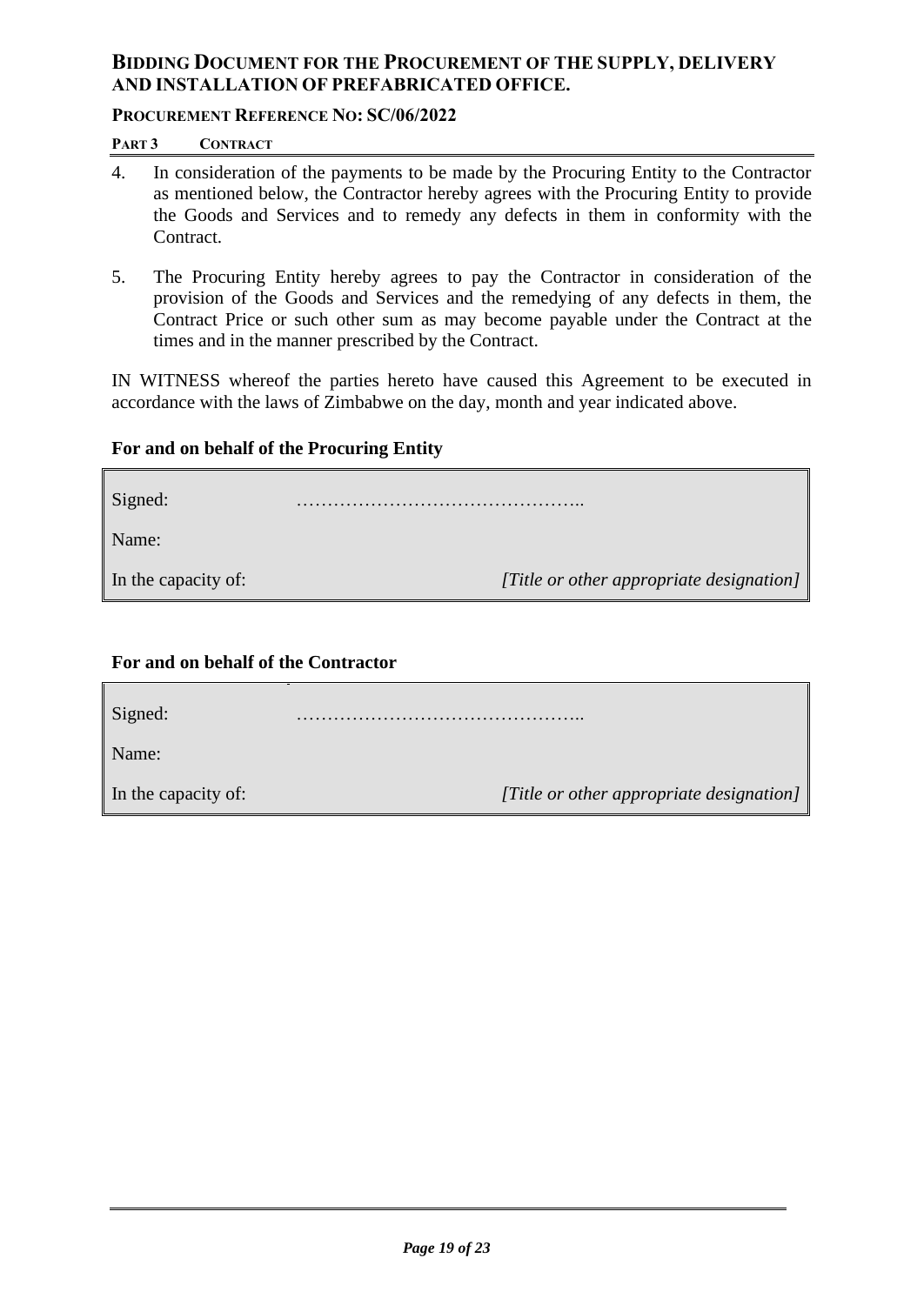## **PROCUREMENT REFERENCE NO: SC/06/2022**

**PART 3 CONTRACT**

- 4. In consideration of the payments to be made by the Procuring Entity to the Contractor as mentioned below, the Contractor hereby agrees with the Procuring Entity to provide the Goods and Services and to remedy any defects in them in conformity with the Contract.
- 5. The Procuring Entity hereby agrees to pay the Contractor in consideration of the provision of the Goods and Services and the remedying of any defects in them, the Contract Price or such other sum as may become payable under the Contract at the times and in the manner prescribed by the Contract.

IN WITNESS whereof the parties hereto have caused this Agreement to be executed in accordance with the laws of Zimbabwe on the day, month and year indicated above.

## **For and on behalf of the Procuring Entity**

| Signed:             | .<br>.                                   |
|---------------------|------------------------------------------|
| Name:               |                                          |
| In the capacity of: | [Title or other appropriate designation] |

## **For and on behalf of the Contractor**

Signed: ………………………………………..

Name:

In the capacity of: *[Title or other appropriate designation]*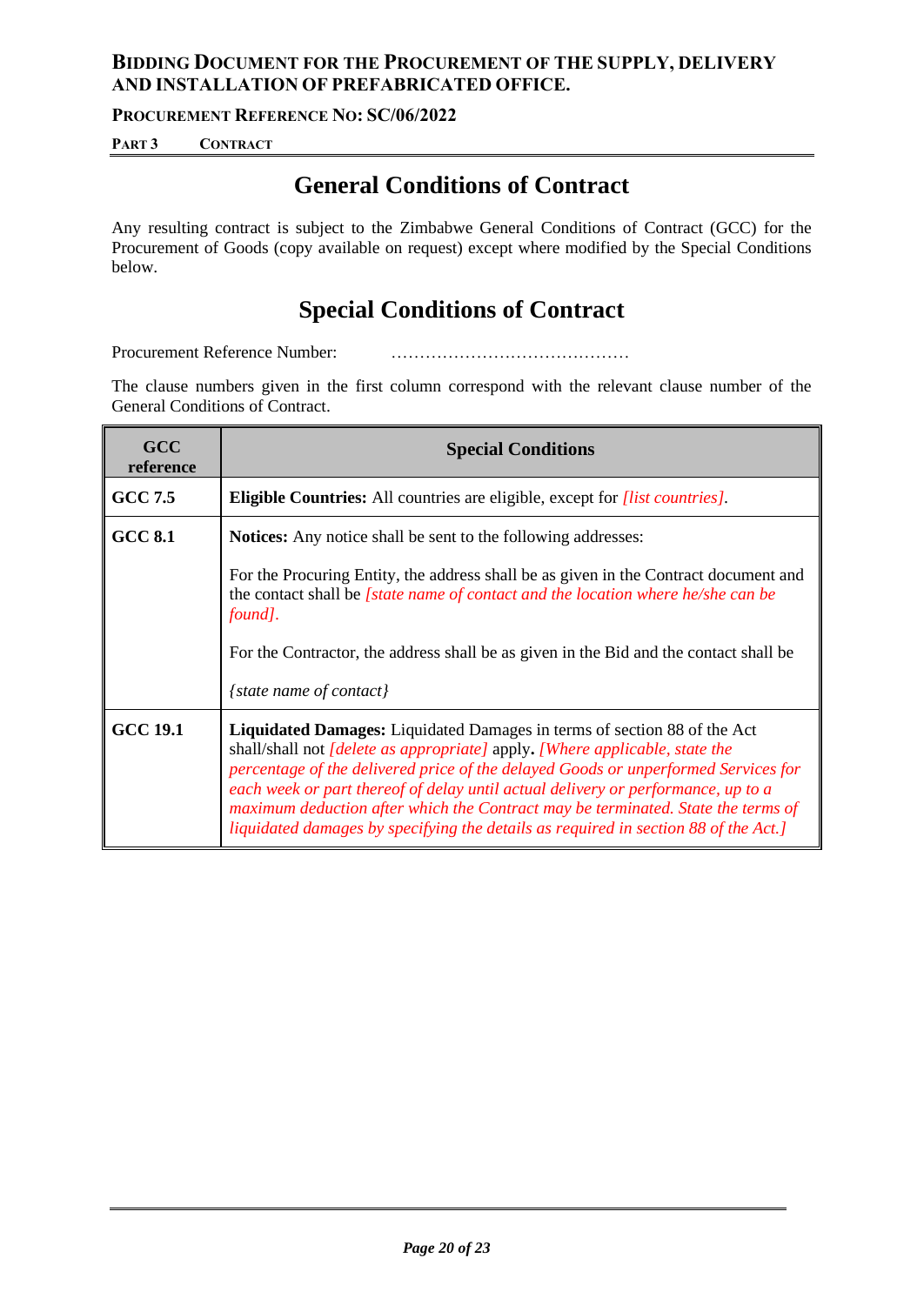**PROCUREMENT REFERENCE NO: SC/06/2022**

**PART 3 CONTRACT**

## **General Conditions of Contract**

Any resulting contract is subject to the Zimbabwe General Conditions of Contract (GCC) for the Procurement of Goods (copy available on request) except where modified by the Special Conditions below.

## **Special Conditions of Contract**

Procurement Reference Number: ……………………………………

The clause numbers given in the first column correspond with the relevant clause number of the General Conditions of Contract.

| GCC<br>reference | <b>Special Conditions</b>                                                                                                                                                                                                                                                                                                                                                                                                                                                                                                         |  |
|------------------|-----------------------------------------------------------------------------------------------------------------------------------------------------------------------------------------------------------------------------------------------------------------------------------------------------------------------------------------------------------------------------------------------------------------------------------------------------------------------------------------------------------------------------------|--|
| GCC 7.5          | <b>Eligible Countries:</b> All countries are eligible, except for <i>[list countries]</i> .                                                                                                                                                                                                                                                                                                                                                                                                                                       |  |
| <b>GCC 8.1</b>   | <b>Notices:</b> Any notice shall be sent to the following addresses:                                                                                                                                                                                                                                                                                                                                                                                                                                                              |  |
|                  | For the Procuring Entity, the address shall be as given in the Contract document and<br>the contact shall be <i>[state name of contact and the location where he/she can be</i><br>found].                                                                                                                                                                                                                                                                                                                                        |  |
|                  | For the Contractor, the address shall be as given in the Bid and the contact shall be                                                                                                                                                                                                                                                                                                                                                                                                                                             |  |
|                  | {state name of contact}                                                                                                                                                                                                                                                                                                                                                                                                                                                                                                           |  |
| GCC 19.1         | <b>Liquidated Damages:</b> Liquidated Damages in terms of section 88 of the Act<br>shall/shall not <i>[delete as appropriate]</i> apply. <i>[Where applicable, state the</i><br>percentage of the delivered price of the delayed Goods or unperformed Services for<br>each week or part thereof of delay until actual delivery or performance, up to a<br>maximum deduction after which the Contract may be terminated. State the terms of<br>liquidated damages by specifying the details as required in section 88 of the Act.] |  |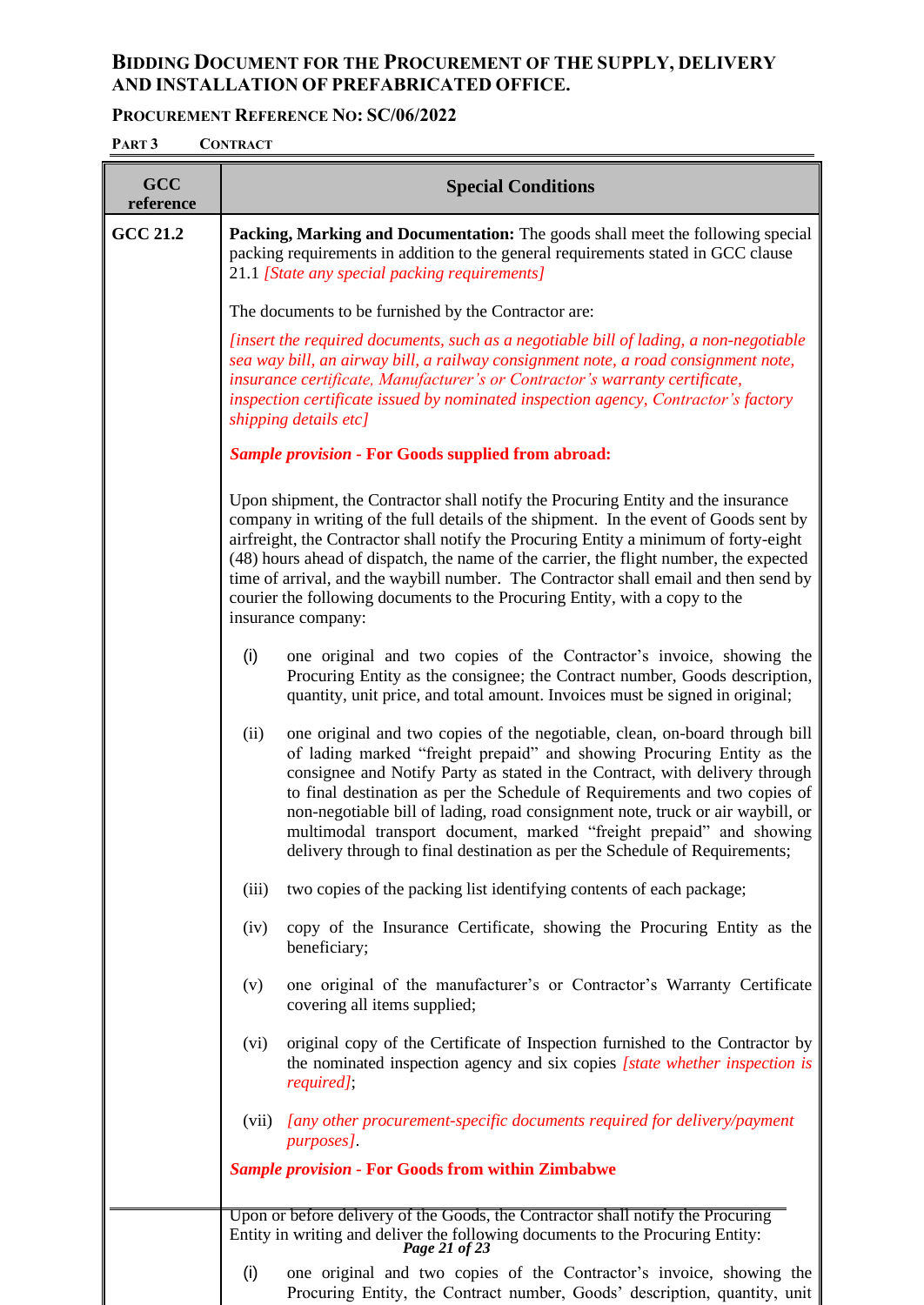## **PROCUREMENT REFERENCE NO: SC/06/2022**

**PART 3 CONTRACT**

| GCC<br>reference | <b>Special Conditions</b>                                                                                                                                                                                                                                                                                                                                                                                                                                                                                                                                         |
|------------------|-------------------------------------------------------------------------------------------------------------------------------------------------------------------------------------------------------------------------------------------------------------------------------------------------------------------------------------------------------------------------------------------------------------------------------------------------------------------------------------------------------------------------------------------------------------------|
| <b>GCC 21.2</b>  | Packing, Marking and Documentation: The goods shall meet the following special<br>packing requirements in addition to the general requirements stated in GCC clause<br>21.1 [State any special packing requirements]                                                                                                                                                                                                                                                                                                                                              |
|                  | The documents to be furnished by the Contractor are:                                                                                                                                                                                                                                                                                                                                                                                                                                                                                                              |
|                  | [insert the required documents, such as a negotiable bill of lading, a non-negotiable<br>sea way bill, an airway bill, a railway consignment note, a road consignment note,<br>insurance certificate, Manufacturer's or Contractor's warranty certificate,<br>inspection certificate issued by nominated inspection agency, Contractor's factory<br>shipping details etc]                                                                                                                                                                                         |
|                  | <b>Sample provision - For Goods supplied from abroad:</b>                                                                                                                                                                                                                                                                                                                                                                                                                                                                                                         |
|                  | Upon shipment, the Contractor shall notify the Procuring Entity and the insurance<br>company in writing of the full details of the shipment. In the event of Goods sent by<br>airfreight, the Contractor shall notify the Procuring Entity a minimum of forty-eight<br>(48) hours ahead of dispatch, the name of the carrier, the flight number, the expected<br>time of arrival, and the waybill number. The Contractor shall email and then send by<br>courier the following documents to the Procuring Entity, with a copy to the<br>insurance company:        |
|                  | (i)<br>one original and two copies of the Contractor's invoice, showing the<br>Procuring Entity as the consignee; the Contract number, Goods description,<br>quantity, unit price, and total amount. Invoices must be signed in original;                                                                                                                                                                                                                                                                                                                         |
|                  | (ii)<br>one original and two copies of the negotiable, clean, on-board through bill<br>of lading marked "freight prepaid" and showing Procuring Entity as the<br>consignee and Notify Party as stated in the Contract, with delivery through<br>to final destination as per the Schedule of Requirements and two copies of<br>non-negotiable bill of lading, road consignment note, truck or air waybill, or<br>multimodal transport document, marked "freight prepaid" and showing<br>delivery through to final destination as per the Schedule of Requirements; |
|                  | two copies of the packing list identifying contents of each package;<br>(iii)                                                                                                                                                                                                                                                                                                                                                                                                                                                                                     |
|                  | copy of the Insurance Certificate, showing the Procuring Entity as the<br>(iv)<br>beneficiary;                                                                                                                                                                                                                                                                                                                                                                                                                                                                    |
|                  | one original of the manufacturer's or Contractor's Warranty Certificate<br>(v)<br>covering all items supplied;                                                                                                                                                                                                                                                                                                                                                                                                                                                    |
|                  | original copy of the Certificate of Inspection furnished to the Contractor by<br>(vi)<br>the nominated inspection agency and six copies [state whether inspection is<br>required];                                                                                                                                                                                                                                                                                                                                                                                |
|                  | (vii) [any other procurement-specific documents required for delivery/payment<br><i>purposes]</i>                                                                                                                                                                                                                                                                                                                                                                                                                                                                 |
|                  | <b>Sample provision - For Goods from within Zimbabwe</b>                                                                                                                                                                                                                                                                                                                                                                                                                                                                                                          |
|                  | Upon or before delivery of the Goods, the Contractor shall notify the Procuring<br>Entity in writing and deliver the following documents to the Procuring Entity:<br>$Page 21 of 23$                                                                                                                                                                                                                                                                                                                                                                              |
|                  | (i)<br>one original and two copies of the Contractor's invoice, showing the<br>Procuring Entity, the Contract number, Goods' description, quantity, unit                                                                                                                                                                                                                                                                                                                                                                                                          |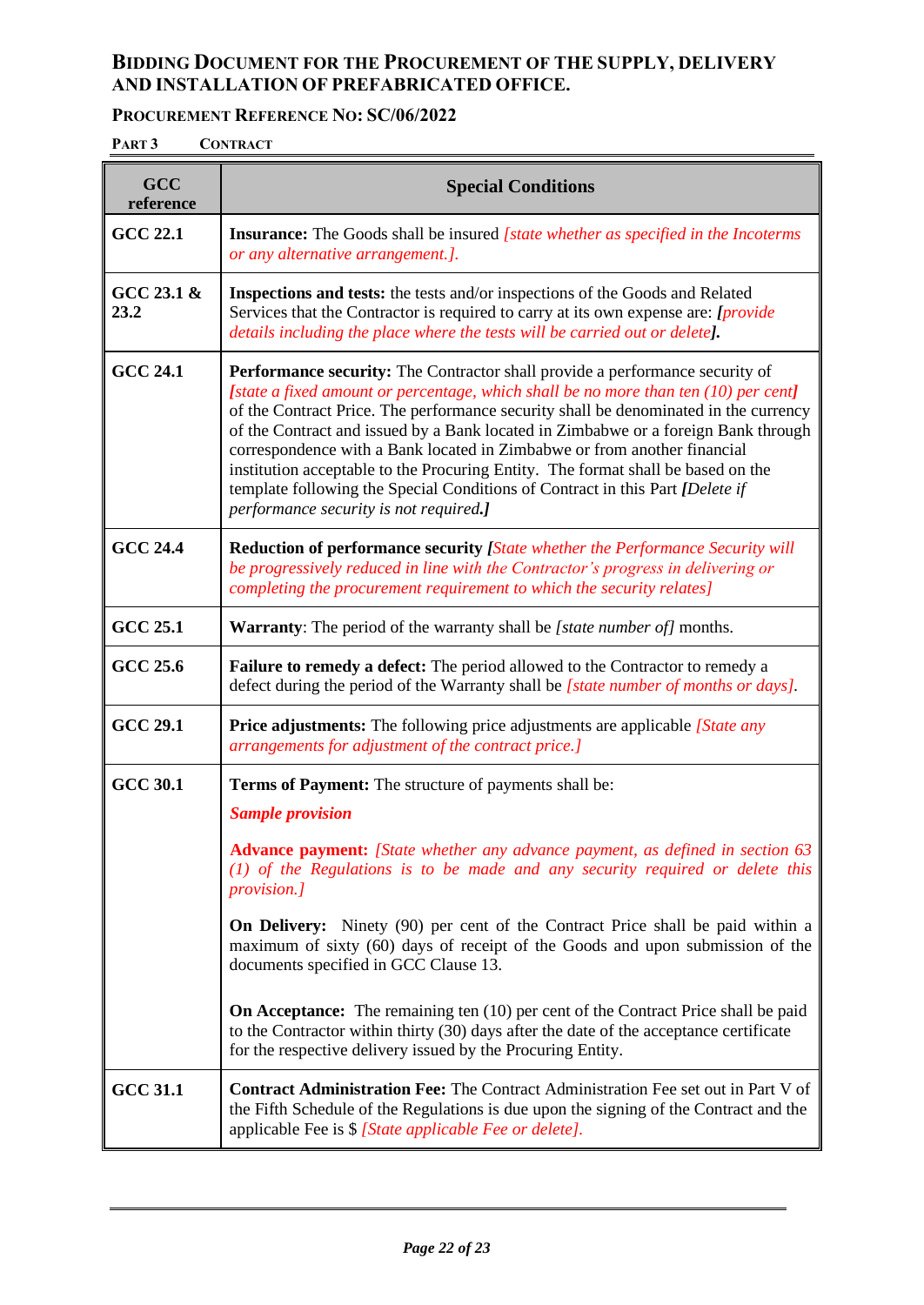## **PROCUREMENT REFERENCE NO: SC/06/2022**

**PART 3 CONTRACT**

| GCC<br>reference   | <b>Special Conditions</b>                                                                                                                                                                                                                                                                                                                                                                                                                                                                                                                                                                                                                    |
|--------------------|----------------------------------------------------------------------------------------------------------------------------------------------------------------------------------------------------------------------------------------------------------------------------------------------------------------------------------------------------------------------------------------------------------------------------------------------------------------------------------------------------------------------------------------------------------------------------------------------------------------------------------------------|
| <b>GCC 22.1</b>    | <b>Insurance:</b> The Goods shall be insured <i>[state whether as specified in the Incoterms</i><br>or any alternative arrangement.].                                                                                                                                                                                                                                                                                                                                                                                                                                                                                                        |
| GCC 23.1 &<br>23.2 | <b>Inspections and tests:</b> the tests and/or inspections of the Goods and Related<br>Services that the Contractor is required to carry at its own expense are: [provide]<br>details including the place where the tests will be carried out or delete].                                                                                                                                                                                                                                                                                                                                                                                    |
| <b>GCC 24.1</b>    | Performance security: The Contractor shall provide a performance security of<br>[state a fixed amount or percentage, which shall be no more than ten (10) per cent]<br>of the Contract Price. The performance security shall be denominated in the currency<br>of the Contract and issued by a Bank located in Zimbabwe or a foreign Bank through<br>correspondence with a Bank located in Zimbabwe or from another financial<br>institution acceptable to the Procuring Entity. The format shall be based on the<br>template following the Special Conditions of Contract in this Part [Delete if<br>performance security is not required.] |
| <b>GCC 24.4</b>    | <b>Reduction of performance security [State whether the Performance Security will</b><br>be progressively reduced in line with the Contractor's progress in delivering or<br>completing the procurement requirement to which the security relates]                                                                                                                                                                                                                                                                                                                                                                                           |
| <b>GCC 25.1</b>    | <b>Warranty:</b> The period of the warranty shall be [state number of] months.                                                                                                                                                                                                                                                                                                                                                                                                                                                                                                                                                               |
| GCC 25.6           | Failure to remedy a defect: The period allowed to the Contractor to remedy a<br>defect during the period of the Warranty shall be [state number of months or days].                                                                                                                                                                                                                                                                                                                                                                                                                                                                          |
| <b>GCC 29.1</b>    | <b>Price adjustments:</b> The following price adjustments are applicable <i>[State any</i><br>arrangements for adjustment of the contract price.]                                                                                                                                                                                                                                                                                                                                                                                                                                                                                            |
| <b>GCC 30.1</b>    | Terms of Payment: The structure of payments shall be:                                                                                                                                                                                                                                                                                                                                                                                                                                                                                                                                                                                        |
|                    | <b>Sample provision</b>                                                                                                                                                                                                                                                                                                                                                                                                                                                                                                                                                                                                                      |
|                    | Advance payment: [State whether any advance payment, as defined in section 63<br>$(1)$ of the Regulations is to be made and any security required or delete this<br>provision.]                                                                                                                                                                                                                                                                                                                                                                                                                                                              |
|                    | <b>On Delivery:</b> Ninety (90) per cent of the Contract Price shall be paid within a<br>maximum of sixty (60) days of receipt of the Goods and upon submission of the<br>documents specified in GCC Clause 13.                                                                                                                                                                                                                                                                                                                                                                                                                              |
|                    | <b>On Acceptance:</b> The remaining ten (10) per cent of the Contract Price shall be paid<br>to the Contractor within thirty (30) days after the date of the acceptance certificate<br>for the respective delivery issued by the Procuring Entity.                                                                                                                                                                                                                                                                                                                                                                                           |
| <b>GCC 31.1</b>    | <b>Contract Administration Fee: The Contract Administration Fee set out in Part V of</b><br>the Fifth Schedule of the Regulations is due upon the signing of the Contract and the<br>applicable Fee is \$ [State applicable Fee or delete].                                                                                                                                                                                                                                                                                                                                                                                                  |